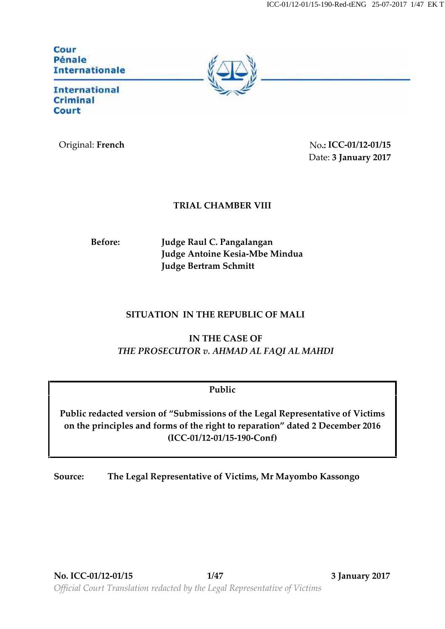| Cour                  |
|-----------------------|
| Pénale                |
| <b>Internationale</b> |
|                       |

**International Criminal** Court

Original: **French** No**.: ICC-01/12-01/15** Date: **3 January 2017**

## **TRIAL CHAMBER VIII**

**Before: Judge Raul C. Pangalangan Judge Antoine Kesia-Mbe Mindua Judge Bertram Schmitt**

## **SITUATION IN THE REPUBLIC OF MALI**

**IN THE CASE OF** *THE PROSECUTOR v. AHMAD AL FAQI AL MAHDI*

## **Public**

**Public redacted version of "Submissions of the Legal Representative of Victims on the principles and forms of the right to reparation" dated 2 December 2016 (ICC-01/12-01/15-190-Conf)**

**Source: The Legal Representative of Victims, Mr Mayombo Kassongo**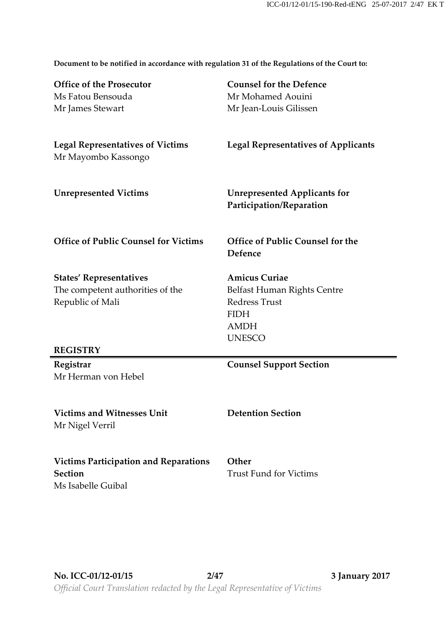**Document to be notified in accordance with regulation 31 of the Regulations of the Court to:**

| <b>Office of the Prosecutor</b>                                | <b>Counsel for the Defence</b>                                  |
|----------------------------------------------------------------|-----------------------------------------------------------------|
| Ms Fatou Bensouda                                              | Mr Mohamed Aouini                                               |
| Mr James Stewart                                               | Mr Jean-Louis Gilissen                                          |
|                                                                |                                                                 |
| <b>Legal Representatives of Victims</b><br>Mr Mayombo Kassongo | <b>Legal Representatives of Applicants</b>                      |
| <b>Unrepresented Victims</b>                                   | <b>Unrepresented Applicants for</b><br>Participation/Reparation |
| <b>Office of Public Counsel for Victims</b>                    | Office of Public Counsel for the<br>Defence                     |
| <b>States' Representatives</b>                                 | <b>Amicus Curiae</b>                                            |
| The competent authorities of the                               | Belfast Human Rights Centre                                     |
| Republic of Mali                                               | <b>Redress Trust</b>                                            |
|                                                                | <b>FIDH</b>                                                     |
|                                                                | <b>AMDH</b>                                                     |
| <b>REGISTRY</b>                                                | <b>UNESCO</b>                                                   |
| Registrar                                                      | <b>Counsel Support Section</b>                                  |
| Mr Herman von Hebel                                            |                                                                 |
|                                                                |                                                                 |
| <b>Victims and Witnesses Unit</b>                              | <b>Detention Section</b>                                        |
| Mr Nigel Verril                                                |                                                                 |
|                                                                |                                                                 |
| <b>Victims Participation and Reparations</b>                   | Other                                                           |
| <b>Section</b>                                                 | <b>Trust Fund for Victims</b>                                   |
| Ms Isabelle Guibal                                             |                                                                 |
|                                                                |                                                                 |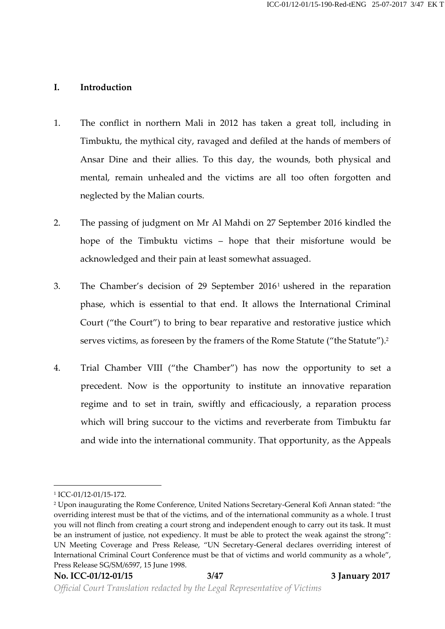#### **I. Introduction**

- 1. The conflict in northern Mali in 2012 has taken a great toll, including in Timbuktu, the mythical city, ravaged and defiled at the hands of members of Ansar Dine and their allies. To this day, the wounds, both physical and mental, remain unhealed and the victims are all too often forgotten and neglected by the Malian courts.
- 2. The passing of judgment on Mr Al Mahdi on 27 September 2016 kindled the hope of the Timbuktu victims – hope that their misfortune would be acknowledged and their pain at least somewhat assuaged.
- 3. The Chamber's decision of 29 September 2016<sup>1</sup> ushered in the reparation phase, which is essential to that end. It allows the International Criminal Court ("the Court") to bring to bear reparative and restorative justice which serves victims, as foreseen by the framers of the Rome Statute ("the Statute").<sup>2</sup>
- 4. Trial Chamber VIII ("the Chamber") has now the opportunity to set a precedent. Now is the opportunity to institute an innovative reparation regime and to set in train, swiftly and efficaciously, a reparation process which will bring succour to the victims and reverberate from Timbuktu far and wide into the international community. That opportunity, as the Appeals

<sup>1</sup> ICC-01/12-01/15-172.

<sup>2</sup> Upon inaugurating the Rome Conference, United Nations Secretary-General Kofi Annan stated: "the overriding interest must be that of the victims, and of the international community as a whole. I trust you will not flinch from creating a court strong and independent enough to carry out its task. It must be an instrument of justice, not expediency. It must be able to protect the weak against the strong": UN Meeting Coverage and Press Release, "UN Secretary-General declares overriding interest of International Criminal Court Conference must be that of victims and world community as a whole", Press Release SG/SM/6597, 15 June 1998.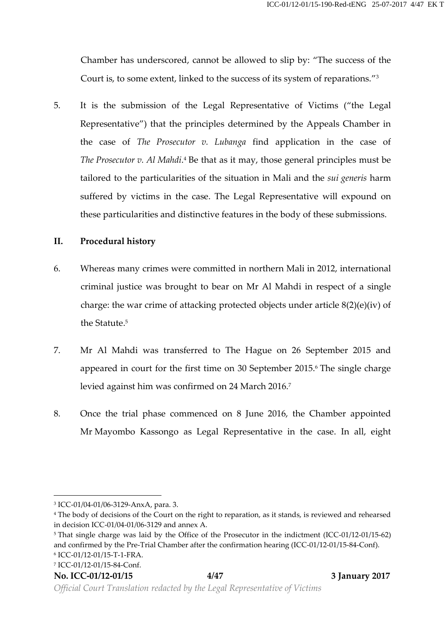Chamber has underscored, cannot be allowed to slip by: "The success of the Court is, to some extent, linked to the success of its system of reparations." 3

5. It is the submission of the Legal Representative of Victims ("the Legal Representative") that the principles determined by the Appeals Chamber in the case of *The Prosecutor v. Lubanga* find application in the case of *The Prosecutor v. Al Mahdi*.<sup>4</sup> Be that as it may, those general principles must be tailored to the particularities of the situation in Mali and the *sui generis* harm suffered by victims in the case. The Legal Representative will expound on these particularities and distinctive features in the body of these submissions.

#### **II. Procedural history**

- 6. Whereas many crimes were committed in northern Mali in 2012, international criminal justice was brought to bear on Mr Al Mahdi in respect of a single charge: the war crime of attacking protected objects under article 8(2)(e)(iv) of the Statute.<sup>5</sup>
- 7. Mr Al Mahdi was transferred to The Hague on 26 September 2015 and appeared in court for the first time on 30 September 2015.<sup>6</sup> The single charge levied against him was confirmed on 24 March 2016.<sup>7</sup>
- 8. Once the trial phase commenced on 8 June 2016, the Chamber appointed Mr Mayombo Kassongo as Legal Representative in the case. In all, eight

<sup>3</sup> ICC-01/04-01/06-3129-AnxA, para. 3.

<sup>4</sup> The body of decisions of the Court on the right to reparation, as it stands, is reviewed and rehearsed in decision ICC-01/04-01/06-3129 and annex A.

<sup>&</sup>lt;sup>5</sup> That single charge was laid by the Office of the Prosecutor in the indictment (ICC-01/12-01/15-62) and confirmed by the Pre-Trial Chamber after the confirmation hearing (ICC-01/12-01/15-84-Conf). <sup>6</sup> ICC-01/12-01/15-T-1-FRA.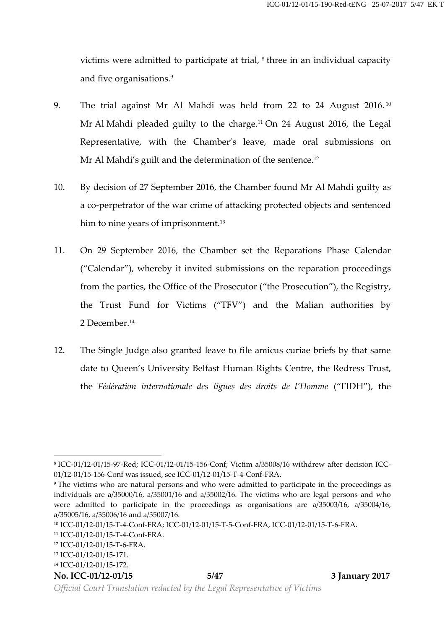victims were admitted to participate at trial, <sup>8</sup> three in an individual capacity and five organisations.<sup>9</sup>

- 9. The trial against Mr Al Mahdi was held from 22 to 24 August 2016.<sup>10</sup> Mr Al Mahdi pleaded guilty to the charge.<sup>11</sup> On 24 August 2016, the Legal Representative, with the Chamber's leave, made oral submissions on Mr Al Mahdi's guilt and the determination of the sentence.<sup>12</sup>
- 10. By decision of 27 September 2016, the Chamber found Mr Al Mahdi guilty as a co-perpetrator of the war crime of attacking protected objects and sentenced him to nine years of imprisonment.<sup>13</sup>
- 11. On 29 September 2016, the Chamber set the Reparations Phase Calendar ("Calendar"), whereby it invited submissions on the reparation proceedings from the parties, the Office of the Prosecutor ("the Prosecution"), the Registry, the Trust Fund for Victims ("TFV") and the Malian authorities by 2 December.<sup>14</sup>
- 12. The Single Judge also granted leave to file amicus curiae briefs by that same date to Queen's University Belfast Human Rights Centre, the Redress Trust, the *Fédération internationale des ligues des droits de l'Homme* ("FIDH"), the

#### **No. ICC-01/12-01/15 5/47 3 January 2017**

<sup>8</sup> ICC-01/12-01/15-97-Red; ICC-01/12-01/15-156-Conf; Victim a/35008/16 withdrew after decision ICC- 01/12-01/15-156-Conf was issued, see ICC-01/12-01/15-T-4-Conf-FRA.

<sup>9</sup> The victims who are natural persons and who were admitted to participate in the proceedings as individuals are a/35000/16, a/35001/16 and a/35002/16. The victims who are legal persons and who were admitted to participate in the proceedings as organisations are a/35003/16, a/35004/16, a/35005/16, a/35006/16 and a/35007/16.

<sup>10</sup> ICC-01/12-01/15-T-4-Conf-FRA; ICC-01/12-01/15-T-5-Conf-FRA, ICC-01/12-01/15-T-6-FRA.

<sup>11</sup> ICC-01/12-01/15-T-4-Conf-FRA.

<sup>12</sup> ICC-01/12-01/15-T-6-FRA.

<sup>13</sup> ICC-01/12-01/15-171.

<sup>14</sup> ICC-01/12-01/15-172.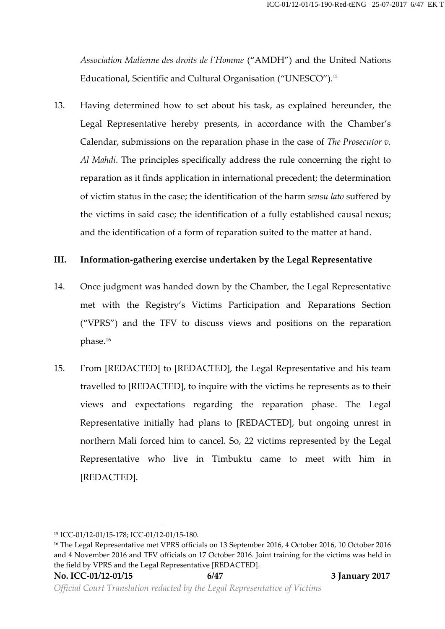*Association Malienne des droits de l'Homme* ("AMDH") and the United Nations Educational, Scientific and Cultural Organisation ("UNESCO").<sup>15</sup>

13. Having determined how to set about his task, as explained hereunder, the Legal Representative hereby presents, in accordance with the Chamber's Calendar, submissions on the reparation phase in the case of *The Prosecutor v.*<br>Al Mahdi. The principles specifically address the rule concerning the right to reparation as it finds application in international precedent; the determination of victim status in the case; the identification of the harm *sensu lato* suffered by the victims in said case; the identification of a fully established causal nexus; and the identification of a form of reparation suited to the matter at hand.

#### **III. Information-gathering exercise undertaken by the Legal Representative**

- 14. Once judgment was handed down by the Chamber, the Legal Representative met with the Registry's Victims Participation and Reparations Section ("VPRS") and the TFV to discuss views and positions on the reparation phase.<sup>16</sup>
- 15. From [REDACTED] to [REDACTED], the Legal Representative and his team travelled to [REDACTED], to inquire with the victims he represents as to their views and expectations regarding the reparation phase. The Legal Representative initially had plans to [REDACTED], but ongoing unrest in northern Mali forced him to cancel. So, 22 victims represented by the Legal Representative who live in Timbuktu came to meet with him in [REDACTED].

<sup>15</sup> ICC-01/12-01/15-178; ICC-01/12-01/15-180.

<sup>16</sup> The Legal Representative met VPRS officials on 13 September 2016, 4 October 2016, 10 October 2016 and 4 November 2016 and TFV officials on 17 October 2016. Joint training for the victims was held in the field by VPRS and the Legal Representative [REDACTED].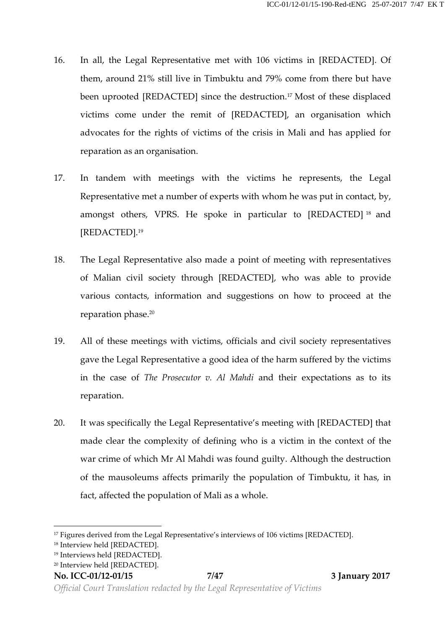- 16. In all, the Legal Representative met with 106 victims in [REDACTED]. Of them, around 21% still live in Timbuktu and 79% come from there but have been uprooted [REDACTED] since the destruction.<sup>17</sup> Most of these displaced victims come under the remit of [REDACTED], an organisation which advocates for the rights of victims of the crisis in Mali and has applied for reparation as an organisation.
- 17. In tandem with meetings with the victims he represents, the Legal Representative met a number of experts with whom he was put in contact, by, amongst others, VPRS. He spoke in particular to [REDACTED] <sup>18</sup> and [REDACTED].<sup>19</sup>
- 18. The Legal Representative also made a point of meeting with representatives of Malian civil society through [REDACTED], who was able to provide various contacts, information and suggestions on how to proceed at the reparation phase.<sup>20</sup>
- 19. All of these meetings with victims, officials and civil society representatives gave the Legal Representative a good idea of the harm suffered by the victims in the case of *The Prosecutor v. Al Mahdi* and their expectations as to its reparation.
- 20. It was specifically the Legal Representative's meeting with [REDACTED] that made clear the complexity of defining who is a victim in the context of the war crime of which Mr Al Mahdi was found guilty. Although the destruction of the mausoleums affects primarily the population of Timbuktu, it has, in fact, affected the population of Mali as a whole.

<sup>&</sup>lt;sup>17</sup> Figures derived from the Legal Representative's interviews of 106 victims [REDACTED].

<sup>&</sup>lt;sup>18</sup> Interview held [REDACTED].

<sup>19</sup> Interviews held [REDACTED].

<sup>20</sup> Interview held [REDACTED].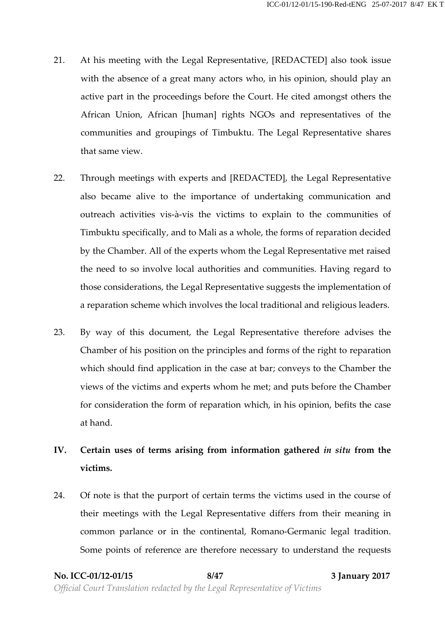- 21. At his meeting with the Legal Representative, [REDACTED] also took issue with the absence of a great many actors who, in his opinion, should play an active part in the proceedings before the Court. He cited amongst others the African Union, African [human] rights NGOs and representatives of the communities and groupings of Timbuktu. The Legal Representative shares that same view.
- 22. Through meetings with experts and [REDACTED], the Legal Representative also became alive to the importance of undertaking communication and outreach activities vis-à-vis the victims to explain to the communities of Timbuktu specifically, and to Mali as a whole, the forms of reparation decided by the Chamber. All of the experts whom the Legal Representative met raised the need to so involve local authorities and communities. Having regard to those considerations, the Legal Representative suggests the implementation of a reparation scheme which involves the local traditional and religious leaders.
- 23. By way of this document, the Legal Representative therefore advises the Chamber of his position on the principles and forms of the right to reparation which should find application in the case at bar; conveys to the Chamber the views of the victims and experts whom he met; and puts before the Chamber for consideration the form of reparation which, in his opinion, befits the case at hand.
- **IV. Certain uses of terms arising from information gathered** *in situ* **from the victims.**
- 24. Of note is that the purport of certain terms the victims used in the course of their meetings with the Legal Representative differs from their meaning in common parlance or in the continental, Romano-Germanic legal tradition. Some points of reference are therefore necessary to understand the requests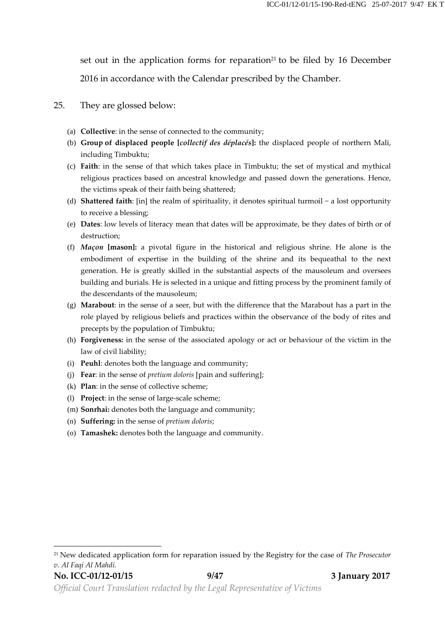set out in the application forms for reparation<sup>21</sup> to be filed by 16 December 2016 in accordance with the Calendar prescribed by the Chamber.

#### 25. They are glossed below:

- (a) **Collective**: in the sense of connected to the community;
- (b) **Group of displaced people [***collectif des déplacés***]:** the displaced people of northern Mali, including Timbuktu;
- (c) **Faith**: in the sense of that which takes place in Timbuktu; the set of mystical and mythical religious practices based on ancestral knowledge and passed down the generations. Hence, the victims speak of their faith being shattered;
- (d) **Shattered faith**: [in] the realm of spirituality, it denotes spiritual turmoil − a lost opportunity to receive a blessing;
- (e) **Dates**: low levels of literacy mean that dates will be approximate, be they dates of birth or of destruction;
- (f) *Maçon* **[mason]:** a pivotal figure in the historical and religious shrine. He alone is the embodiment of expertise in the building of the shrine and its bequeathal to the next generation. He is greatly skilled in the substantial aspects of the mausoleum and oversees building and burials. He is selected in a unique and fitting process by the prominent family of the descendants of the mausoleum;
- (g) **Marabout**: in the sense of a seer, but with the difference that the Marabout has a part in the role played by religious beliefs and practices within the observance of the body of rites and precepts by the population of Timbuktu;
- (h) **Forgiveness:** in the sense of the associated apology or act or behaviour of the victim in the law of civil liability;
- (i) **Peuhl**: denotes both the language and community;
- (j) **Fear**: in the sense of *pretium doloris* [pain and suffering];
- (k) **Plan**: in the sense of collective scheme;
- (l) **Project**: in the sense of large-scale scheme;
- (m) **Sonrhai:** denotes both the language and community;
- (n) **Suffering:** in the sense of *pretium doloris*;
- (o) **Tamashek:** denotes both the language and community.

<sup>21</sup> New dedicated application form for reparation issued by the Registry for the case of *The Prosecutor v. Al Faqi Al Mahdi.*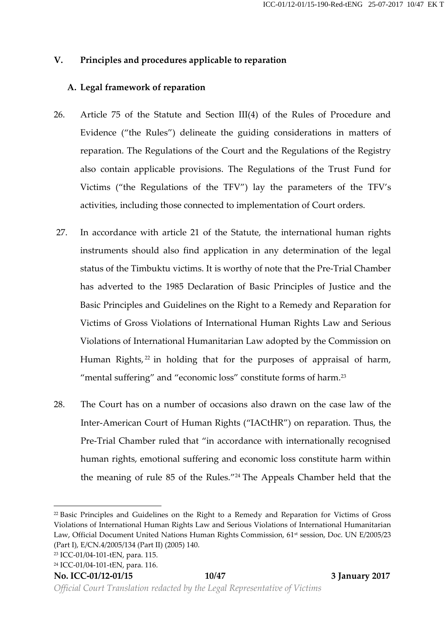## **V. Principles and procedures applicable to reparation**

## **A. Legal framework of reparation**

- 26. Article 75 of the Statute and Section III(4) of the Rules of Procedure and Evidence ("the Rules") delineate the guiding considerations in matters of reparation. The Regulations of the Court and the Regulations of the Registry also contain applicable provisions. The Regulations of the Trust Fund for Victims ("the Regulations of the TFV") lay the parameters of the TFV's activities, including those connected to implementation of Court orders.
- 27. In accordance with article 21 of the Statute, the international human rights instruments should also find application in any determination of the legal status of the Timbuktu victims. It is worthy of note that the Pre-Trial Chamber has adverted to the 1985 Declaration of Basic Principles of Justice and the Basic Principles and Guidelines on the Right to a Remedy and Reparation for Victims of Gross Violations of International Human Rights Law and Serious Violations of International Humanitarian Law adopted by the Commission on Human Rights,<sup>22</sup> in holding that for the purposes of appraisal of harm, "mental suffering" and "economic loss" constitute forms of harm.<sup>23</sup>
- 28. The Court has on a number of occasions also drawn on the case law of the Inter-American Court of Human Rights ("IACtHR") on reparation. Thus, the Pre-Trial Chamber ruled that "in accordance with internationally recognised human rights, emotional suffering and economic loss constitute harm within the meaning of rule 85 of the Rules." <sup>24</sup> The Appeals Chamber held that the

**No. ICC-01/12-01/15 10/47 3 January 2017**

<sup>22</sup> Basic Principles and Guidelines on the Right to a Remedy and Reparation for Victims of Gross Violations of International Human Rights Law and Serious Violations of International Humanitarian Law, Official Document United Nations Human Rights Commission, 61<sup>st</sup> session, Doc. UN E/2005/23 (Part I), E/CN.4/2005/134 (Part II) (2005) 140.

<sup>23</sup> ICC-01/04-101-tEN, para. 115.

<sup>24</sup> ICC-01/04-101-tEN, para. 116.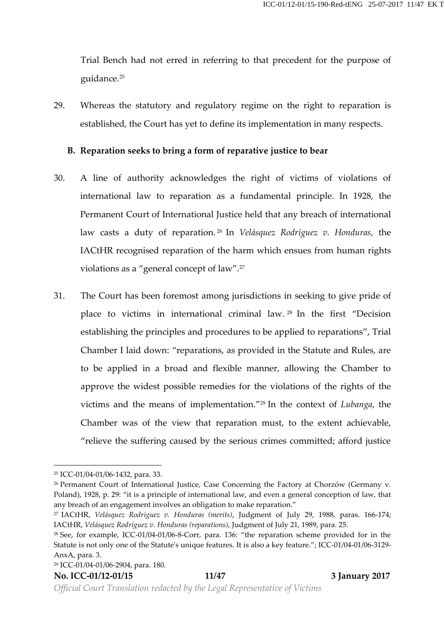Trial Bench had not erred in referring to that precedent for the purpose of guidance.<sup>25</sup>

29. Whereas the statutory and regulatory regime on the right to reparation is established, the Court has yet to define its implementation in many respects.

#### **B. Reparation seeks to bring a form of reparative justice to bear**

- 30. A line of authority acknowledges the right of victims of violations of international law to reparation as a fundamental principle. In 1928, the Permanent Court of International Justice held that any breach of international law casts a duty of reparation. <sup>26</sup> In *Velásquez Rodríguez v. Honduras*, the IACtHR recognised reparation of the harm which ensues from human rights violations as a "general concept of law".<sup>27</sup>
- 31. The Court has been foremost among jurisdictions in seeking to give pride of place to victims in international criminal law. <sup>28</sup> In the first "Decision establishing the principles and procedures to be applied to reparations", Trial Chamber I laid down: "reparations, as provided in the Statute and Rules, are to be applied in a broad and flexible manner, allowing the Chamber to approve the widest possible remedies for the violations of the rights of the victims and the means of implementation." <sup>29</sup> In the context of *Lubanga*, the Chamber was of the view that reparation must, to the extent achievable, "relieve the suffering caused by the serious crimes committed; afford justice

<sup>25</sup> ICC-01/04-01/06-1432, para. 33.

<sup>&</sup>lt;sup>26</sup> Permanent Court of International Justice, Case Concerning the Factory at Chorzów (Germany v. Poland), 1928, p. 29: "it is a principle of international law, and even a general conception of law, that any breach of an engagement involves an obligation to make reparation."

<sup>27</sup> IACtHR, *Velásquez Rodríguez v. Honduras (merits)*, Judgment of July 29, 1988, paras. 166-174; IACtHR, *Velásquez Rodríguez v. Honduras (reparations)*, Judgment of July 21, 1989, para. 25.

<sup>28</sup> See, for example, ICC-01/04-01/06-8-Corr, para. 136: "the reparation scheme provided for in the Statute is not only one of the Statute's unique features. It is also a key feature."; ICC-01/04-01/06-3129- AnxA, para. 3.

<sup>29</sup> ICC-01/04-01/06-2904, para. 180.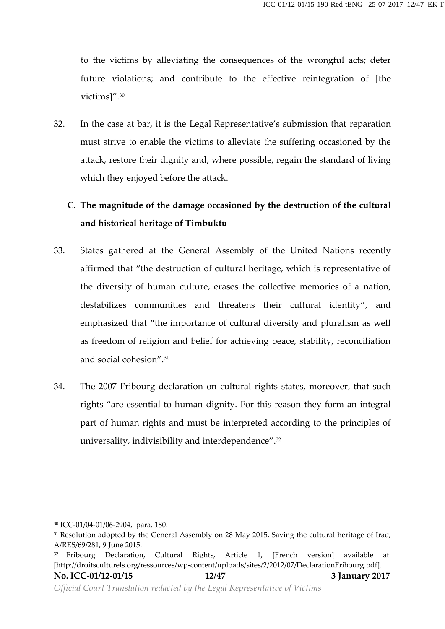to the victims by alleviating the consequences of the wrongful acts; deter future violations; and contribute to the effective reintegration of [the victims]".<sup>30</sup>

32. In the case at bar, it is the Legal Representative's submission that reparation must strive to enable the victims to alleviate the suffering occasioned by the attack, restore their dignity and,where possible, regain the standard of living which they enjoyed before the attack.

# **C. The magnitude of the damage occasioned by the destruction of the cultural and historical heritage of Timbuktu**

- 33. States gathered at the General Assembly of the United Nations recently affirmed that"the destruction of cultural heritage, which is representative of the diversity of human culture, erases the collective memories of a nation, destabilizes communities and threatens their cultural identity", and emphasized that"the importance of cultural diversity and pluralism as well as freedom of religion and belief for achieving peace, stability, reconciliation and social cohesion".<sup>31</sup>
- 34. The 2007 Fribourg declaration on cultural rights states, moreover, that such rights "are essential to human dignity. For this reason they form an integral part of human rights and must be interpreted according to the principles of universality, indivisibility and interdependence".<sup>32</sup>

<sup>30</sup> ICC-01/04-01/06-2904, para. 180.

<sup>&</sup>lt;sup>31</sup> Resolution adopted by the General Assembly on 28 May 2015, Saving the cultural heritage of Iraq, A/RES/69/281, 9 June 2015.

<sup>32</sup> Fribourg Declaration, Cultural Rights, Article 1, [French version] available at: [http://droitsculturels.org/ressources/wp-content/uploads/sites/2/2012/07/DeclarationFribourg.pdf].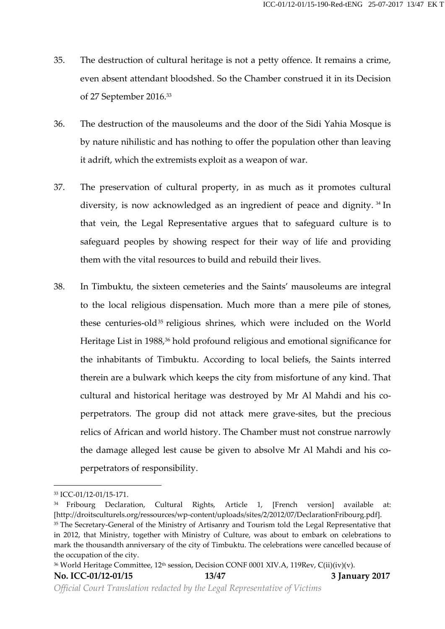- 35. The destruction of cultural heritage is not a petty offence. It remains a crime, even absent attendant bloodshed. So the Chamber construed it in its Decision of 27 September 2016.<sup>33</sup>
- 36. The destruction of the mausoleums and the door of the Sidi Yahia Mosque is by nature nihilistic and has nothing to offer the population other than leaving it adrift, which the extremists exploit as a weapon of war.
- 37. The preservation of cultural property, in as much as it promotes cultural diversity, is now acknowledged as an ingredient of peace and dignity. <sup>34</sup> In that vein, the Legal Representative argues that to safeguard culture is to safeguard peoples by showing respect for their way of life and providing them with the vital resources to build and rebuild their lives.
- 38. In Timbuktu, the sixteen cemeteries and the Saints' mausoleums are integral to the local religious dispensation. Much more than a mere pile of stones, these centuries-old<sup>35</sup> religious shrines, which were included on the World Heritage List in 1988,<sup>36</sup> hold profound religious and emotional significance for the inhabitants of Timbuktu. According to local beliefs, the Saints interred therein are a bulwark which keeps the city from misfortune of any kind. That cultural and historical heritage was destroyed by Mr Al Mahdi and his co perpetrators. The group did not attack mere grave-sites, but the precious relics of African and world history. The Chamber must not construe narrowly the damage alleged lest cause be given to absolve Mr Al Mahdi and his co perpetrators of responsibility.

<sup>33</sup> ICC-01/12-01/15-171.

<sup>34</sup> Fribourg Declaration, Cultural Rights, Article 1, [French version] available at: [http://droitsculturels.org/ressources/wp-content/uploads/sites/2/2012/07/DeclarationFribourg.pdf].

<sup>&</sup>lt;sup>35</sup> The Secretary-General of the Ministry of Artisanry and Tourism told the Legal Representative that in 2012, that Ministry, together with Ministry of Culture, was about to embark on celebrations to mark the thousandth anniversary of the city of Timbuktu. The celebrations were cancelled because of the occupation of the city.

<sup>&</sup>lt;sup>36</sup> World Heritage Committee, 12<sup>th</sup> session, Decision CONF 0001 XIV.A, 119Rev, C(ii)(iv)(v).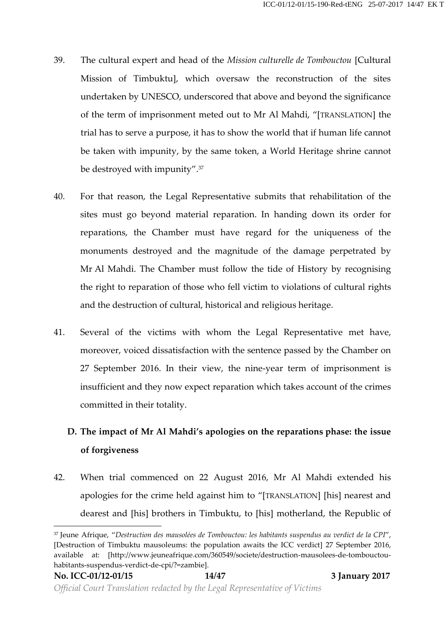- 39. The cultural expert and head of the *Mission culturelle de Tombouctou* [Cultural Mission of Timbuktu], which oversaw the reconstruction of the sites undertaken by UNESCO, underscored that above and beyond the significance of the term of imprisonment meted out to Mr Al Mahdi, "[TRANSLATION] the trial has to serve a purpose, it has to show the world that if human life cannot be taken with impunity, by the same token, a World Heritage shrine cannot be destroyed with impunity".<sup>37</sup>
- 40. For that reason, the Legal Representative submits that rehabilitation of the sites must go beyond material reparation. In handing down its order for reparations, the Chamber must have regard for the uniqueness of the monuments destroyed and the magnitude of the damage perpetrated by Mr Al Mahdi. The Chamber must follow the tide of History by recognising the right to reparation of those who fell victim to violations of cultural rights and the destruction of cultural, historical and religious heritage.
- 41. Several of the victims with whom the Legal Representative met have, moreover, voiced dissatisfaction with the sentence passed by the Chamber on 27 September 2016. In their view, the nine-year term of imprisonment is insufficient and they now expect reparation which takes account of the crimes committed in their totality.

# **D. The impact of Mr Al Mahdi's apologies on the reparations phase: the issue of forgiveness**

42. When trial commenced on 22 August 2016, Mr Al Mahdi extended his apologies for the crime held against him to "[TRANSLATION] [his] nearest and dearest and [his] brothers in Timbuktu, to [his] motherland, the Republic of

<sup>37</sup> Jeune Afrique, "*Destruction des mausolées de Tombouctou: les habitants suspendus au verdict de la CPI*", [Destruction of Timbuktu mausoleums: the population awaits the ICC verdict] 27 September 2016, available at: [http://www.jeuneafrique.com/360549/societe/destruction-mausolees-de-tombouctou habitants-suspendus-verdict-de-cpi/?=zambie].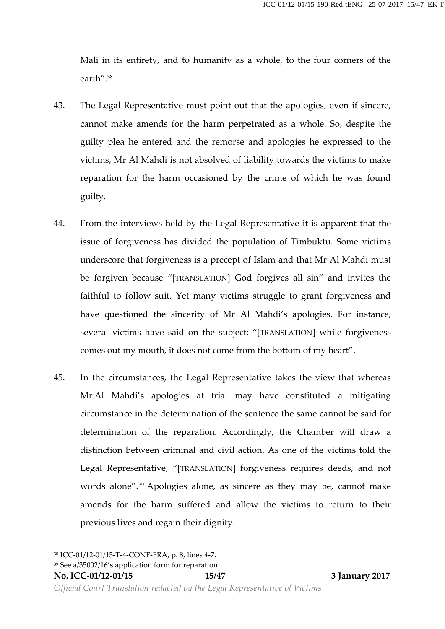Mali in its entirety, and to humanity as a whole, to the four corners of the earth".<sup>38</sup>

- 43. The Legal Representative must point out that the apologies, even if sincere, cannot make amends for the harm perpetrated as a whole. So, despite the guilty plea he entered and the remorse and apologies he expressed to the victims, Mr Al Mahdi is not absolved of liability towards the victims to make reparation for the harm occasioned by the crime of which he was found guilty.
- 44. From the interviews held by the Legal Representative it is apparent that the issue of forgiveness has divided the population of Timbuktu. Some victims underscore that forgiveness is a precept of Islam and that Mr Al Mahdi must be forgiven because "[TRANSLATION] God forgives all sin" and invites the faithful to follow suit. Yet many victims struggle to grant forgiveness and have questioned the sincerity of Mr Al Mahdi's apologies. For instance, several victims have said on the subject: "[TRANSLATION] while forgiveness comes out my mouth, it does not come from the bottom of my heart".
- 45. In the circumstances, the Legal Representative takes the view that whereas Mr Al Mahdi's apologies at trial may have constituted a mitigating circumstance in the determination of the sentence the same cannot be said for determination of the reparation. Accordingly, the Chamber will draw a distinction between criminal and civil action. As one of the victims told the Legal Representative, "[TRANSLATION] forgiveness requires deeds, and not words alone".<sup>39</sup> Apologies alone, as sincere as they may be, cannot make amends for the harm suffered and allow the victims to return to their previous lives and regain their dignity.

<sup>38</sup> ICC-01/12-01/15-T-4-CONF-FRA, p. 8, lines 4-7.

<sup>39</sup> See a/35002/16's application form for reparation.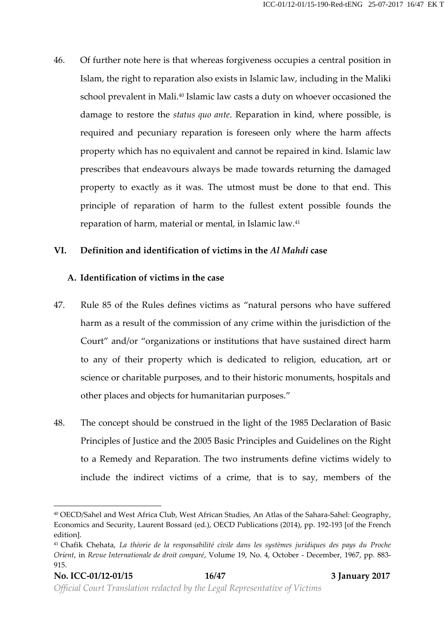46. Of further note here is that whereas forgiveness occupies a central position in Islam, the right to reparation also exists in Islamic law, including in the Maliki school prevalent in Mali.<sup>40</sup> Islamic law casts a duty on whoever occasioned the damage to restore the *status quo ante*. Reparation in kind, where possible, is required and pecuniary reparation is foreseen only where the harm affects property which has no equivalent and cannot be repaired in kind. Islamic law prescribes that endeavours always be made towards returning the damaged property to exactly as it was. The utmost must be done to that end. This principle of reparation of harm to the fullest extent possible founds the reparation of harm, material or mental, in Islamic law.<sup>41</sup>

#### **VI. Definition and identification of victims in the** *Al Mahdi* **case**

#### **A. Identification of victims in the case**

- 47. Rule 85 of the Rules defines victims as "natural persons who have suffered harm as a result of the commission of any crime within the jurisdiction of the Court" and/or "organizations or institutions that have sustained direct harm to any of their property which is dedicated to religion, education, art or science or charitable purposes, and to their historic monuments, hospitals and other places and objects for humanitarian purposes."
- 48. The concept should be construed in the light of the 1985 Declaration of Basic Principles of Justice and the 2005 Basic Principles and Guidelines on the Right to a Remedy and Reparation. The two instruments define victims widely to include the indirect victims of a crime, that is to say, members of the

<sup>40</sup> OECD/Sahel and West Africa Club, West African Studies, An Atlas of the Sahara-Sahel: Geography, Economics and Security, Laurent Bossard (ed.), OECD Publications (2014), pp. 192-193 [of the French edition].

<sup>41</sup> Chafik Chehata, *La théorie de la responsabilité civile dans les systèmes juridiques des pays du Proche Orient*, in *Revue Internationale de droit comparé*, Volume 19, No. 4, October - December, 1967, pp. 883- 915.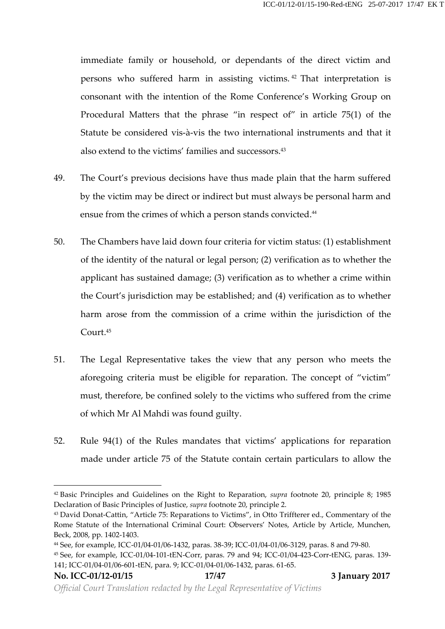immediate family or household, or dependants of the direct victim and persons who suffered harm in assisting victims. <sup>42</sup> That interpretation is consonant with the intention of the Rome Conference's Working Group on Procedural Matters that the phrase "in respect of" in article 75(1) of the Statute be considered vis-à-vis the two international instruments and that it also extend to the victims' families and successors.<sup>43</sup>

- 49. The Court's previous decisions have thus made plain that the harm suffered by the victim may be direct or indirect but must always be personal harm and ensue from the crimes of which a person stands convicted.<sup>44</sup>
- 50. The Chambers have laid down four criteria for victim status: (1) establishment of the identity of the natural or legal person; (2) verification as to whether the applicant has sustained damage; (3) verification as to whether a crime within the Court's jurisdiction may be established; and (4) verification as to whether harm arose from the commission of a crime within the jurisdiction of the Court.<sup>45</sup>
- 51. The Legal Representative takes the view that any person who meets the aforegoing criteria must be eligible for reparation. The concept of "victim" must, therefore, be confined solely to the victims who suffered from the crime of which Mr Al Mahdi was found guilty.
- 52. Rule 94(1) of the Rules mandates that victims' applications for reparation made under article 75 of the Statute contain certain particulars to allow the

<sup>42</sup> Basic Principles and Guidelines on the Right to Reparation, *supra* footnote 20, principle 8; 1985 Declaration of Basic Principles of Justice, *supra* footnote 20, principle 2.

<sup>43</sup> David Donat-Cattin, "Article 75: Reparations to Victims", in Otto Triffterer ed., Commentary of the Rome Statute of the International Criminal Court: Observers' Notes, Article by Article, Munchen, Beck, 2008, pp. 1402-1403.

<sup>44</sup> See, for example, ICC-01/04-01/06-1432, paras. 38-39; ICC-01/04-01/06-3129, paras. 8 and 79-80.

<sup>45</sup> See, for example, ICC-01/04-101-tEN-Corr, paras. 79 and 94; ICC-01/04-423-Corr-tENG, paras. 139- 141; ICC-01/04-01/06-601-tEN, para. 9; ICC-01/04-01/06-1432, paras. 61-65.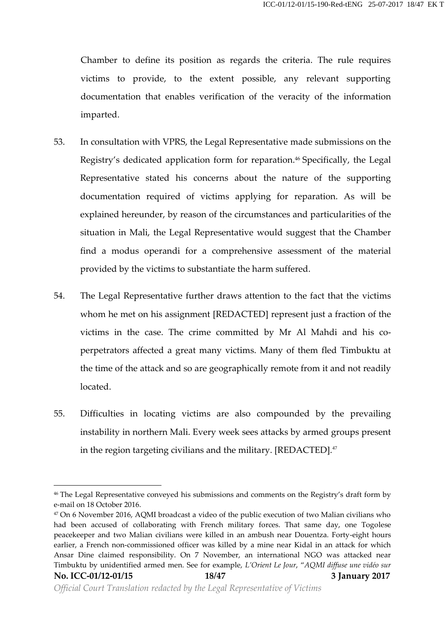Chamber to define its position as regards the criteria. The rule requires victims to provide, to the extent possible, any relevant supporting documentation that enables verification of the veracity of the information imparted.

- 53. In consultation with VPRS, the Legal Representative made submissions on the Registry's dedicated application form for reparation.<sup>46</sup> Specifically, the Legal Representative stated his concerns about the nature of the supporting documentation required of victims applying for reparation. As will be explained hereunder, by reason of the circumstances and particularities of the situation in Mali, the Legal Representative would suggest that the Chamber find a modus operandi for a comprehensive assessment of the material provided by the victims to substantiate the harm suffered.
- 54. The Legal Representative further draws attention to the fact that the victims whom he met on his assignment [REDACTED] represent just a fraction of the victims in the case. The crime committed by Mr Al Mahdi and his co perpetrators affected a great many victims. Many of them fled Timbuktu at the time of the attack and so are geographically remote from it and not readily located.
- 55. Difficulties in locating victims are also compounded by the prevailing instability in northern Mali. Every week sees attacks by armed groups present in the region targeting civilians and the military.  $[REDACTED]$ <sup>47</sup>

<sup>46</sup> The Legal Representative conveyed his submissions and comments on the Registry's draft form by e-mail on 18 October 2016.

**No. ICC-01/12-01/15 18/47 3 January 2017** <sup>47</sup> On 6 November 2016, AQMI broadcast a video of the public execution of two Malian civilians who had been accused of collaborating with French military forces. That same day, one Togolese peacekeeper and two Malian civilians were killed in an ambush near Douentza. Forty-eight hours earlier, a French non-commissioned officer was killed by a mine near Kidal in an attack for which Ansar Dine claimed responsibility. On 7 November, an international NGO was attacked near Timbuktu by unidentified armed men. See for example, *L'Orient Le Jour*, "*AQMI diffuse une vidéo sur*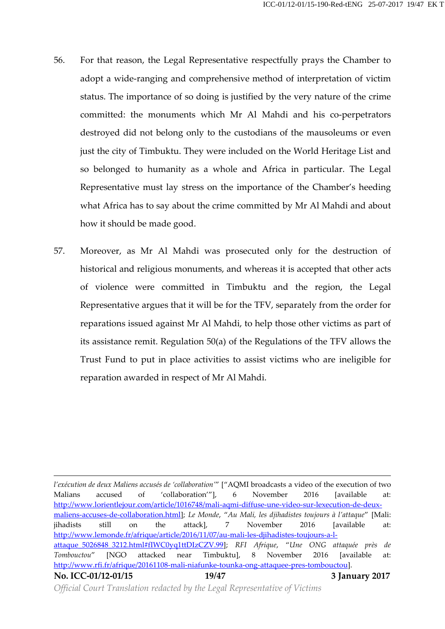- 56. For that reason, the Legal Representative respectfully prays the Chamber to adopt a wide-ranging and comprehensive method of interpretation of victim status. The importance of so doing is justified by the very nature of the crime committed: the monuments which Mr Al Mahdi and his co-perpetrators destroyed did not belong only to the custodians of the mausoleums or even just the city of Timbuktu. They were included on the World Heritage List and so belonged to humanity as a whole and Africa in particular. The Legal Representative must lay stress on the importance of the Chamber's heeding what Africa has to say about the crime committed by Mr Al Mahdi and about how it should be made good.
- 57. Moreover, as Mr Al Mahdi was prosecuted only for the destruction of historical and religious monuments, and whereas it is accepted that other acts of violence were committed in Timbuktu and the region, the Legal Representative argues that it will be for the TFV, separately from the order for reparations issued against Mr Al Mahdi, to help those other victims as part of its assistance remit. Regulation 50(a) of the Regulations of the TFV allows the Trust Fund to put in place activities to assist victims who are ineligible for reparation awarded in respect of Mr Al Mahdi.

**No. ICC-01/12-01/15 19/47 3 January 2017** *l'exécution de deux Maliens accusés de 'collaboration'*" ["AQMI broadcasts a video of the execution of two Malians accused of 'collaboration'"], 6 November 2016 [available at: http://www.lorientlejour.com/article/1016748/mali-aqmi-diffuse-une-video-sur-lexecution-de-deux maliens-accuses-de-collaboration.html]; *Le Monde*, "*Au Mali, les djihadistes toujours à l'attaque*" [Mali: jihadists still on the attack], 7 November 2016 [available at: http://www.lemonde.fr/afrique/article/2016/11/07/au-mali-les-djihadistes-toujours-a-l attaque\_5026848\_3212.html#fIWC0yq1ttDIzCZV.99]; *RFI Afrique*, "*Une ONG attaquée près de Tombouctou*" [NGO attacked near Timbuktu], 8 November 2016 [available at: http://www.rfi.fr/afrique/20161108-mali-niafunke-tounka-ong-attaquee-pres-tombouctou].

*Official Court Translation redacted by the Legal Representative of Victims*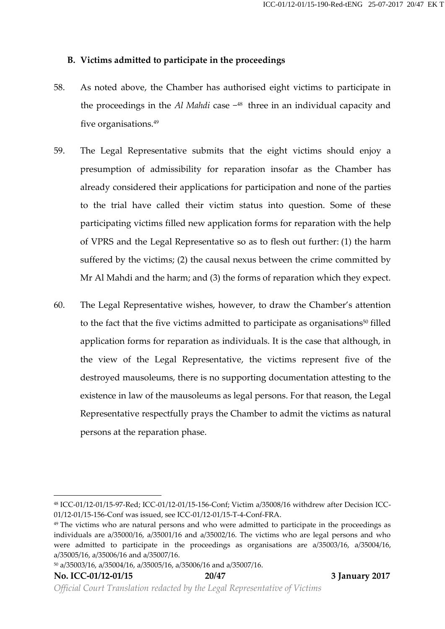## **B. Victims admitted to participate in the proceedings**

- 58. As noted above, the Chamber has authorised eight victims to participate in the proceedings in the *Al Mahdi* case − <sup>48</sup> three in an individual capacity and five organisations.<sup>49</sup>
- 59. The Legal Representative submits that the eight victims should enjoy a presumption of admissibility for reparation insofar as the Chamber has already considered their applications for participation and none of the parties to the trial have called their victim status into question. Some of these participating victims filled new application forms for reparation with the help of VPRS and the Legal Representative so as to flesh out further: (1) the harm suffered by the victims; (2) the causal nexus between the crime committed by Mr Al Mahdi and the harm; and (3) the forms of reparation which they expect.
- 60. The Legal Representative wishes, however, to draw the Chamber's attention to the fact that the five victims admitted to participate as organisations <sup>50</sup> filled application forms for reparation as individuals. It is the case that although, in the view of the Legal Representative, the victims represent five of the destroyed mausoleums, there is no supporting documentation attesting to the existence in law of the mausoleums as legal persons. For that reason, the Legal Representative respectfully prays the Chamber to admit the victims as natural persons at the reparation phase.

<sup>48</sup> ICC-01/12-01/15-97-Red; ICC-01/12-01/15-156-Conf; Victim a/35008/16 withdrew after Decision ICC- 01/12-01/15-156-Conf was issued, see ICC-01/12-01/15-T-4-Conf-FRA.

<sup>&</sup>lt;sup>49</sup> The victims who are natural persons and who were admitted to participate in the proceedings as individuals are a/35000/16, a/35001/16 and a/35002/16. The victims who are legal persons and who were admitted to participate in the proceedings as organisations are a/35003/16, a/35004/16, a/35005/16, a/35006/16 and a/35007/16.

<sup>50</sup> a/35003/16, a/35004/16, a/35005/16, a/35006/16 and a/35007/16.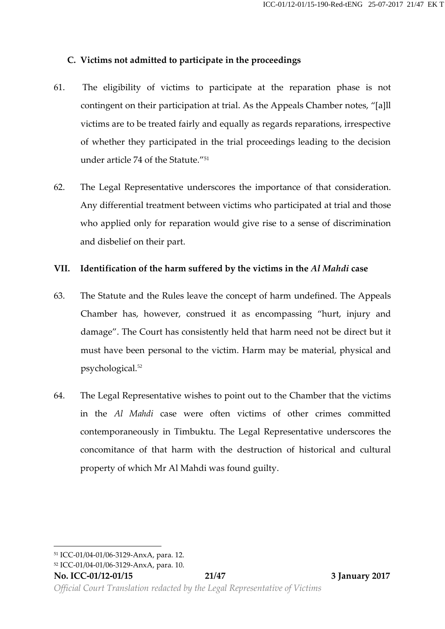## **C. Victims not admitted to participate in the proceedings**

- 61. The eligibility of victims to participate at the reparation phase is not contingent on their participation at trial. As the Appeals Chamber notes, "[a]ll victims are to be treated fairly and equally as regards reparations, irrespective of whether they participated in the trial proceedings leading to the decision under article 74 of the Statute." 51
- 62. The Legal Representative underscores the importance of that consideration. Any differential treatment between victims who participated at trial and those who applied only for reparation would give rise to a sense of discrimination and disbelief on their part.

## **VII. Identification of the harm suffered by the victims in the** *Al Mahdi* **case**

- 63. The Statute and the Rules leave the concept of harm undefined. The Appeals Chamber has, however, construed it as encompassing "hurt, injury and damage". The Court has consistently held that harm need not be direct but it must have been personal to the victim. Harm may be material, physical and psychological.<sup>52</sup>
- 64. The Legal Representative wishes to point out to the Chamber that the victims in the *Al Mahdi* case were often victims of other crimes committed contemporaneously in Timbuktu. The Legal Representative underscores the concomitance of that harm with the destruction of historical and cultural property of which Mr Al Mahdi was found guilty.

<sup>51</sup> ICC-01/04-01/06-3129-AnxA, para. 12.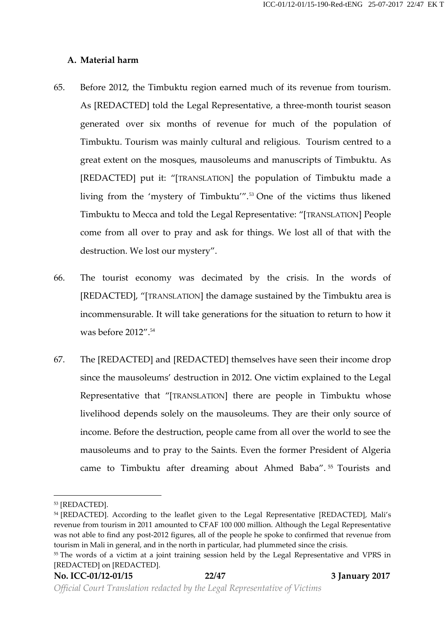#### **A. Material harm**

- 65. Before 2012, the Timbuktu region earned much of its revenue from tourism. As [REDACTED] told the Legal Representative, a three-month tourist season generated over six months of revenue for much of the population of Timbuktu. Tourism was mainly cultural and religious. Tourism centred to a great extent on the mosques, mausoleums and manuscripts of Timbuktu. As [REDACTED] put it: "[TRANSLATION] the population of Timbuktu made a living from the 'mystery of Timbuktu'''.<sup>53</sup> One of the victims thus likened Timbuktu to Mecca and told the Legal Representative: "[TRANSLATION] People come from all over to pray and ask for things. We lost all of that with the destruction. We lost our mystery".
- 66. The tourist economy was decimated by the crisis. In the words of [REDACTED], "[TRANSLATION] the damage sustained by the Timbuktu area is incommensurable. It will take generations for the situation to return to how it was before 2012".<sup>54</sup>
- 67. The [REDACTED] and [REDACTED] themselves have seen their income drop since the mausoleums' destruction in 2012. One victim explained to the Legal Representative that "[TRANSLATION] there are people in Timbuktu whose livelihood depends solely on the mausoleums. They are their only source of income. Before the destruction, people came from all over the world to see the mausoleums and to pray to the Saints. Even the former President of Algeria came to Timbuktu after dreaming about Ahmed Baba". <sup>55</sup> Tourists and

<sup>53</sup> [REDACTED].

<sup>&</sup>lt;sup>54</sup> [REDACTED]. According to the leaflet given to the Legal Representative [REDACTED], Mali's revenue from tourism in 2011 amounted to CFAF 100 000 million. Although the Legal Representative was not able to find any post-2012 figures, all of the people he spoke to confirmed that revenue from tourism in Mali in general, and in the north in particular, had plummeted since the crisis.

<sup>&</sup>lt;sup>55</sup> The words of a victim at a joint training session held by the Legal Representative and VPRS in [REDACTED] on [REDACTED].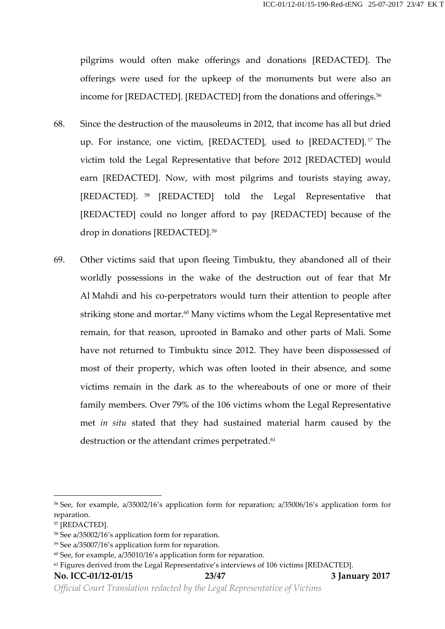pilgrims would often make offerings and donations [REDACTED]. The offerings were used for the upkeep of the monuments but were also an income for [REDACTED]. [REDACTED] from the donations and offerings.<sup>56</sup>

- 68. Since the destruction of the mausoleums in 2012, that income has all but dried up. For instance, one victim, [REDACTED], used to [REDACTED].<sup>57</sup> The victim told the Legal Representative that before 2012 [REDACTED] would earn [REDACTED]. Now, with most pilgrims and tourists staying away, [REDACTED]. <sup>58</sup> [REDACTED] told the Legal Representative that [REDACTED] could no longer afford to pay [REDACTED] because of the drop in donations [REDACTED].<sup>59</sup>
- 69. Other victims said that upon fleeing Timbuktu, they abandoned all of their worldly possessions in the wake of the destruction out of fear that Mr Al Mahdi and his co-perpetrators would turn their attention to people after striking stone and mortar.<sup>60</sup> Many victims whom the Legal Representative met remain, for that reason, uprooted in Bamako and other parts of Mali. Some have not returned to Timbuktu since 2012. They have been dispossessed of most of their property, which was often looted in their absence, and some victims remain in the dark as to the whereabouts of one or more of their family members. Over 79% of the 106 victims whom the Legal Representative met *in situ* stated that they had sustained material harm caused by the destruction or the attendant crimes perpetrated.<sup>61</sup>

**No. ICC-01/12-01/15 23/47 3 January 2017**

*Official Court Translation redacted by the Legal Representative of Victims*

<sup>56</sup> See, for example, a/35002/16's application form for reparation; a/35006/16's application form for reparation.

<sup>57</sup> [REDACTED].

<sup>58</sup> See a/35002/16's application form for reparation.

<sup>59</sup> See a/35007/16's application form for reparation.

 $60$  See, for example, a/35010/16's application form for reparation.

<sup>61</sup> Figures derived from the Legal Representative's interviews of 106 victims [REDACTED].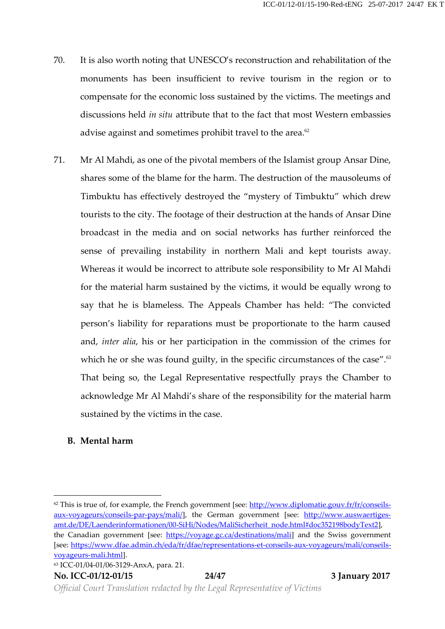- 70. It is also worth noting that UNESCO's reconstruction and rehabilitation of the monuments has been insufficient to revive tourism in the region or to compensate for the economic loss sustained by the victims. The meetings and discussions held *in situ* attribute that to the fact that most Western embassies advise against and sometimes prohibit travel to the area. $62$
- 71. Mr Al Mahdi, as one of the pivotal members of the Islamist group Ansar Dine, shares some of the blame for the harm. The destruction of the mausoleums of Timbuktu has effectively destroyed the "mystery of Timbuktu" which drew tourists to the city. The footage of their destruction at the hands of Ansar Dine broadcast in the media and on social networks has further reinforced the sense of prevailing instability in northern Mali and kept tourists away. Whereas it would be incorrect to attribute sole responsibility to Mr Al Mahdi for the material harm sustained by the victims, it would be equally wrong to say that he is blameless. The Appeals Chamber has held: "The convicted person's liability for reparations must be proportionate to the harm caused and, *inter alia*, his or her participation in the commission of the crimes for which he or she was found guilty, in the specific circumstances of the case".<sup>63</sup> That being so, the Legal Representative respectfully prays the Chamber to acknowledge Mr Al Mahdi's share of the responsibility for the material harm sustained by the victims in the case.

# **B. Mental harm**

 $62$  This is true of, for example, the French government [see: http://www.diplomatie.gouv.fr/fr/conseilsaux-voyageurs/conseils-par-pays/mali/], the German government [see: http://www.auswaertiges amt.de/DE/Laenderinformationen/00-SiHi/Nodes/MaliSicherheit\_node.html#doc352198bodyText2], the Canadian government [see: https://voyage.gc.ca/destinations/mali] and the Swiss government [see: https://www.dfae.admin.ch/eda/fr/dfae/representations-et-conseils-aux-voyageurs/mali/conseils voyageurs-mali.html].

<sup>63</sup> ICC-01/04-01/06-3129-AnxA, para. 21.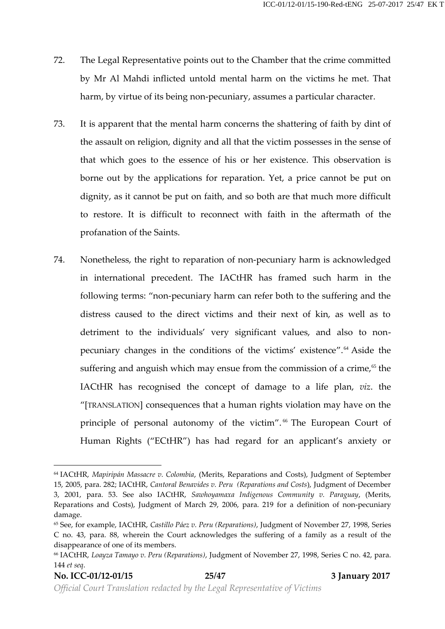- 72. The Legal Representative points out to the Chamber that the crime committed by Mr Al Mahdi inflicted untold mental harm on the victims he met. That harm, by virtue of its being non-pecuniary, assumes a particular character.
- 73. It is apparent that the mental harm concerns the shattering of faith by dint of the assault on religion, dignity and all that the victim possesses in the sense of that which goes to the essence of his or her existence. This observation is borne out by the applications for reparation. Yet, a price cannot be put on dignity, as it cannot be put on faith, and so both are that much more difficult to restore. It is difficult to reconnect with faith in the aftermath of the profanation of the Saints.
- 74. Nonetheless, the right to reparation of non-pecuniary harm is acknowledged in international precedent. The IACtHR has framed such harm in the following terms: "non-pecuniary harm can refer both to the suffering and the distress caused to the direct victims and their next of kin, as well as to detriment to the individuals' very significant values, and also to non pecuniary changes in the conditions of the victims' existence".<sup>64</sup> Aside the suffering and anguish which may ensue from the commission of a crime, $65$  the IACtHR has recognised the concept of damage to a life plan, *viz*. the "[TRANSLATION] consequences that a human rights violation may have on the principle of personal autonomy of the victim".<sup>66</sup> The European Court of Human Rights ("ECtHR") has had regard for an applicant's anxiety or

<sup>64</sup> IACtHR, *Mapiripán Massacre v. Colombia*, (Merits, Reparations and Costs), Judgment of September 15, 2005, para. 282; IACtHR, *Cantoral Benavides v. Peru (Reparations and Costs*), Judgment of December 3, 2001, para. 53. See also IACtHR, *Sawhoyamaxa Indigenous Community v. Paraguay*, (Merits, Reparations and Costs), Judgment of March 29, 2006, para. 219 for a definition of non-pecuniary damage.

<sup>65</sup> See, for example, IACtHR, *Castillo Páez v. Peru (Reparations)*, Judgment of November 27, 1998, Series C no. 43, para. 88, wherein the Court acknowledges the suffering of a family as a result of the disappearance of one of its members.

<sup>66</sup> IACtHR, *Loayza Tamayo v. Peru (Reparations)*, Judgment of November 27, 1998, Series C no. 42, para. 144 *et seq*.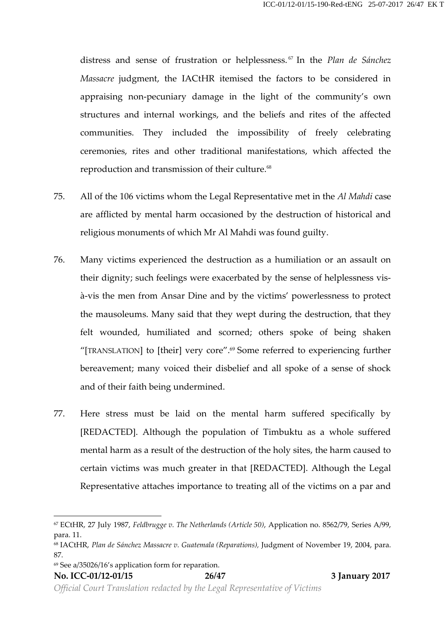distress and sense of frustration or helplessness. <sup>67</sup> In the *Plan de Sánchez Massacre* judgment, the IACtHR itemised the factors to be considered in appraising non-pecuniary damage in the light of the community's own structures and internal workings, and the beliefs and rites of the affected communities. They included the impossibility of freely celebrating ceremonies, rites and other traditional manifestations, which affected the reproduction and transmission of their culture.<sup>68</sup>

- 75. All of the 106 victims whom the Legal Representative met in the *Al Mahdi* case are afflicted by mental harm occasioned by the destruction of historical and religious monuments of which Mr Al Mahdi was found guilty.
- 76. Many victims experienced the destruction as a humiliation or an assault on their dignity; such feelings were exacerbated by the sense of helplessness vis à-vis the men from Ansar Dine and by the victims' powerlessness to protect the mausoleums. Many said that they wept during the destruction, that they felt wounded, humiliated and scorned; others spoke of being shaken "[TRANSLATION] to [their] very core".<sup>69</sup> Some referred to experiencing further bereavement; many voiced their disbelief and all spoke of a sense of shock and of their faith being undermined.
- 77. Here stress must be laid on the mental harm suffered specifically by [REDACTED]. Although the population of Timbuktu as a whole suffered mental harm as a result of the destruction of the holy sites, the harm caused to certain victims was much greater in that [REDACTED]. Although the Legal Representative attaches importance to treating all of the victims on a par and

<sup>69</sup> See a/35026/16's application form for reparation.

*Official Court Translation redacted by the Legal Representative of Victims*

<sup>67</sup> ECtHR, 27 July 1987, *Feldbrugge v. The Netherlands (Article 50)*, Application no. 8562/79, Series A/99, para. 11.

<sup>68</sup> IACtHR, *Plan deSánchez Massacre v. Guatemala (Reparations),* Judgment of November 19, 2004, para. 87.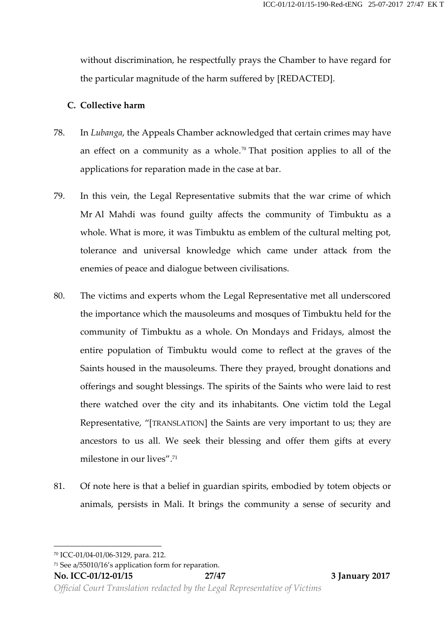without discrimination, he respectfully prays the Chamber to have regard for the particular magnitude of the harm suffered by [REDACTED].

#### **C. Collective harm**

- 78. In *Lubanga*, the Appeals Chamber acknowledged that certain crimes may have an effect on a community as a whole.<sup>70</sup> That position applies to all of the applications for reparation made in the case at bar.
- 79. In this vein, the Legal Representative submits that the war crime of which Mr Al Mahdi was found guilty affects the community of Timbuktu as a whole. What is more, it was Timbuktu as emblem of the cultural melting pot, tolerance and universal knowledge which came under attack from the enemies of peace and dialogue between civilisations.
- 80. The victims and experts whom the Legal Representative met all underscored the importance which the mausoleums and mosques of Timbuktu held for the community of Timbuktu as a whole. On Mondays and Fridays, almost the entire population of Timbuktu would come to reflect at the graves of the Saints housed in the mausoleums. There they prayed, brought donations and offerings and sought blessings. The spirits of the Saints who were laid to rest there watched over the city and its inhabitants. One victim told the Legal Representative, "[TRANSLATION] the Saints are very important to us; they are ancestors to us all. We seek their blessing and offer them gifts at every milestone in our lives".<sup>71</sup>
- 81. Of note here is that a belief in guardian spirits, embodied by totem objects or animals, persists in Mali. It brings the community a sense of security and

*Official Court Translation redacted by the Legal Representative of Victims*

<sup>70</sup> ICC-01/04-01/06-3129, para. 212.

<sup>71</sup> See a/55010/16's application form for reparation.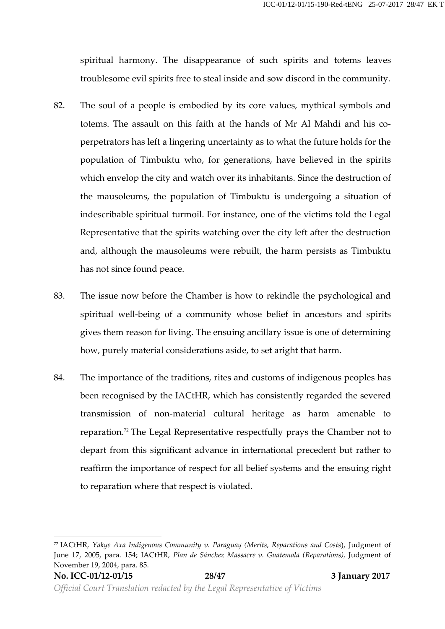spiritual harmony. The disappearance of such spirits and totems leaves troublesome evil spirits free to steal inside and sow discord in the community.

- 82. The soul of a people is embodied by its core values, mythical symbols and totems. The assault on this faith at the hands of Mr Al Mahdi and his co perpetrators has left a lingering uncertainty as to what the future holds for the population of Timbuktu who, for generations, have believed in the spirits which envelop the city and watch over its inhabitants. Since the destruction of the mausoleums, the population of Timbuktu is undergoing a situation of indescribable spiritual turmoil. For instance, one of the victims told the Legal Representative that the spirits watching over the city leftafter the destruction and, although the mausoleums were rebuilt, the harm persists as Timbuktu has not since found peace.
- 83. The issue now before the Chamber is how to rekindle the psychological and spiritual well-being of a community whose belief in ancestors and spirits gives them reason for living. The ensuing ancillary issue is one of determining how, purely material considerations aside, to set aright that harm.
- 84. The importance of the traditions, rites and customs of indigenous peoples has been recognised by the IACtHR, which has consistently regarded the severed transmission of non-material cultural heritage as harm amenable to reparation.<sup>72</sup> The Legal Representative respectfully prays the Chamber not to depart from this significant advance in international precedent but rather to reaffirm the importance of respect for all belief systems and the ensuing right to reparation where that respect is violated.

<sup>72</sup> IACtHR, *Yakye Axa Indigenous Community v. Paraguay (Merits, Reparations and Costs*), Judgment of June 17, 2005, para. 154; IACtHR, *Plan de Sánchez Massacre v. Guatemala (Reparations),* Judgment of November 19, 2004, para. 85.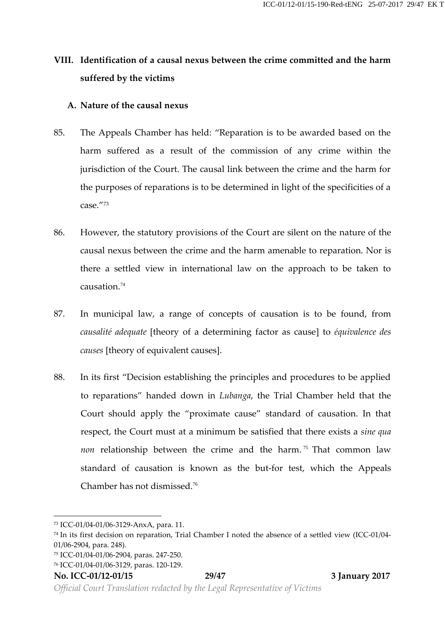# **VIII. Identification of a causal nexus between the crime committed and the harm suffered by the victims**

#### **A. Nature of the causal nexus**

- 85. The Appeals Chamber has held: "Reparation is to be awarded based on the harm suffered as a result of the commission of any crime within the jurisdiction of the Court. The causal link between the crime and the harm for the purposes of reparations is to be determined in light of the specificities of a case." 73
- 86. However, the statutory provisions of the Court are silent on the nature of the causal nexus between the crime and the harm amenable to reparation. Nor is there a settled view in international law on the approach to be taken to causation.<sup>74</sup>
- 87. In municipal law, a range of concepts of causation is to be found, from *causalité adequate* [theory of a determining factor as cause] to *équivalence des causes* [theory of equivalent causes].
- 88. In its first "Decision establishing the principles and procedures to be applied to reparations" handed down in *Lubanga*, the Trial Chamber held that the Court should apply the "proximate cause" standard of causation. In that respect, the Court must at a minimum be satisfied that there exists a *sine qua non* relationship between the crime and the harm.<sup>75</sup> That common law standard of causation is known as the but-for test, which the Appeals Chamber has not dismissed.<sup>76</sup>

*Official Court Translation redacted by the Legal Representative of Victims*

<sup>73</sup> ICC-01/04-01/06-3129-AnxA, para. 11.

<sup>74</sup> In its first decision on reparation, Trial Chamber I noted the absence of a settled view (ICC-01/04- 01/06-2904, para. 248).

<sup>75</sup> ICC-01/04-01/06-2904, paras. 247-250.

<sup>76</sup> ICC-01/04-01/06-3129, paras. 120-129.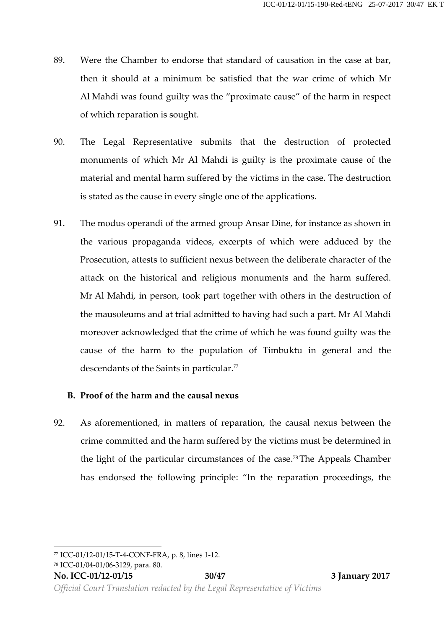- 89. Were the Chamber to endorse that standard of causation in the case at bar, then it should at a minimum be satisfied that the war crime of which Mr Al Mahdi was found guilty was the "proximate cause" of the harm in respect of which reparation is sought.
- 90. The Legal Representative submits that the destruction of protected monuments of which Mr Al Mahdi is guilty is the proximate cause of the material and mental harm suffered by the victims in the case. The destruction is stated as the cause in every single one of the applications.
- 91. The modus operandi of the armed group Ansar Dine, for instance as shown in the various propaganda videos, excerpts of which were adduced by the Prosecution, attests to sufficient nexus between the deliberate character of the attack on the historical and religious monuments and the harm suffered. Mr Al Mahdi, in person, took part together with others in the destruction of the mausoleums and at trial admitted to having had such a part. Mr Al Mahdi moreover acknowledged that the crime of which he was found guilty was the cause of the harm to the population of Timbuktu in general and the descendants of the Saints in particular.<sup>77</sup>

## **B. Proof of the harm and the causal nexus**

92. As aforementioned, in matters of reparation, the causal nexus between the crime committed and the harm suffered by the victims must be determined in the light of the particular circumstances of the case.78The Appeals Chamber has endorsed the following principle: "In the reparation proceedings, the

<sup>78</sup> ICC-01/04-01/06-3129, para. 80.

<sup>77</sup> ICC-01/12-01/15-T-4-CONF-FRA, p. 8, lines 1-12.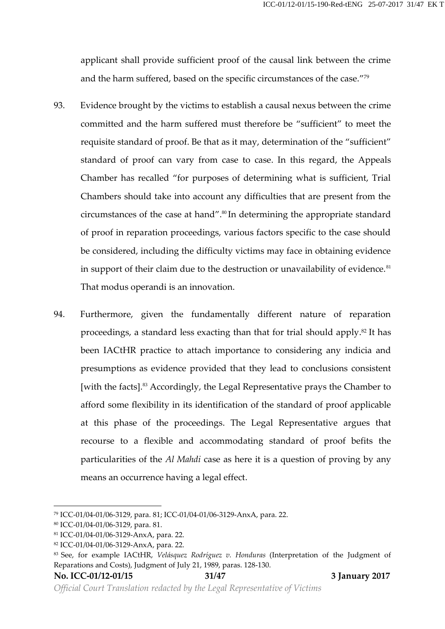applicant shall provide sufficient proof of the causal link between the crime and the harm suffered, based on the specific circumstances of the case." 79

- 93. Evidence brought by the victims to establish a causal nexus between the crime committed and the harm suffered must therefore be "sufficient" to meet the requisite standard of proof. Be that as it may, determination of the "sufficient" standard of proof can vary from case to case. In this regard, the Appeals Chamber has recalled "for purposes of determining what is sufficient, Trial Chambers should take into account any difficulties that are present from the circumstances of the case at hand".<sup>80</sup> In determining the appropriate standard of proof in reparation proceedings, various factors specific to the case should be considered, including the difficulty victims may face in obtaining evidence in support of their claim due to the destruction or unavailability of evidence.<sup>81</sup> That modus operandi is an innovation.
- 94. Furthermore, given the fundamentally different nature of reparation proceedings, a standard less exacting than that for trial should apply.<sup>82</sup> It has been IACtHR practice to attach importance to considering any indicia and presumptions as evidence provided that they lead to conclusions consistent [with the facts].<sup>83</sup> Accordingly, the Legal Representative prays the Chamber to afford some flexibility in its identification of the standard of proof applicable at this phase of the proceedings. The Legal Representative argues that recourse to a flexible and accommodating standard of proof befits the particularities of the *Al Mahdi* case as here it is a question of proving by any means an occurrence having a legal effect.

<sup>79</sup> ICC-01/04-01/06-3129, para. 81; ICC-01/04-01/06-3129-AnxA, para. 22.

<sup>80</sup> ICC-01/04-01/06-3129, para. 81.

<sup>81</sup> ICC-01/04-01/06-3129-AnxA, para. 22.

<sup>82</sup> ICC-01/04-01/06-3129-AnxA, para. 22.

<sup>83</sup> See, for example IACtHR, *Velásquez Rodríguez v. Honduras* (Interpretation of the Judgment of Reparations and Costs), Judgment of July 21, 1989, paras. 128-130.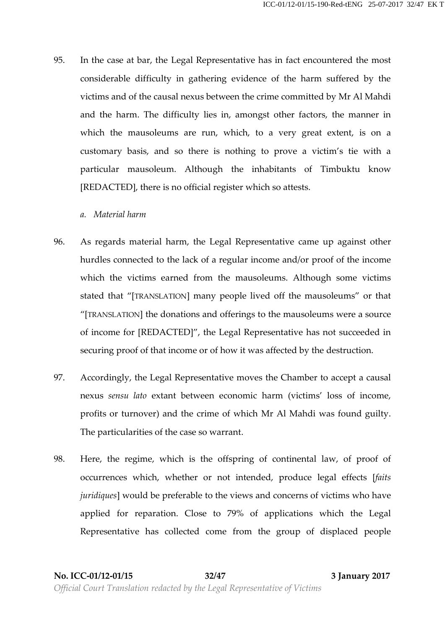- 95. In the case at bar, the Legal Representative has in fact encountered the most considerable difficulty in gathering evidence of the harm suffered by the victims and of the causal nexus between the crime committed by Mr Al Mahdi and the harm. The difficulty lies in, amongst other factors, the manner in which the mausoleums are run, which, to a very great extent, is on a customary basis, and so there is nothing to prove a victim's tie with a particular mausoleum. Although the inhabitants of Timbuktu know [REDACTED], there is no official register which so attests.
	- *a. Material harm*
- 96. As regards material harm, the Legal Representative came up against other hurdles connected to the lack of a regular income and/or proof of the income which the victims earned from the mausoleums. Although some victims stated that "[TRANSLATION] many people lived off the mausoleums" or that "[TRANSLATION] the donations and offerings to the mausoleums were a source of income for [REDACTED]", the Legal Representative has not succeeded in securing proof of that income or of how it was affected by the destruction.
- 97. Accordingly, the Legal Representative moves the Chamber to accept a causal nexus *sensu lato* extant between economic harm (victims'loss of income, profits or turnover) and the crime of which Mr Al Mahdi was found guilty. The particularities of the case so warrant.
- 98. Here, the regime, which is the offspring of continental law, of proof of occurrences which, whether or not intended, produce legal effects [*faits juridiques*] would be preferable to the views and concerns of victims who have applied for reparation. Close to 79% of applications which the Legal Representative has collected come from the group of displaced people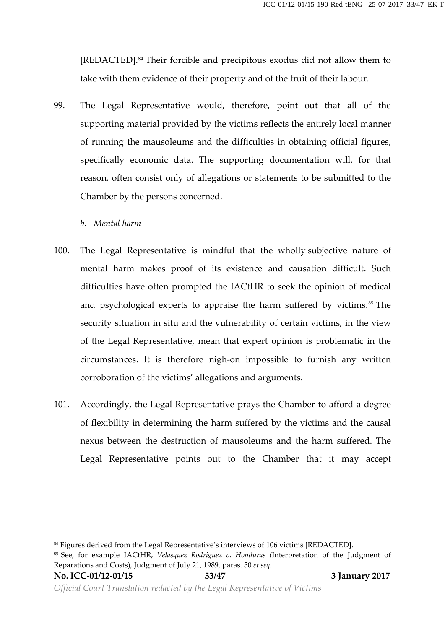[REDACTED].<sup>84</sup> Their forcible and precipitous exodus did not allow them to take with them evidence of their property and of the fruit of their labour.

- 99. The Legal Representative would, therefore, point out that all of the supporting material provided by the victims reflects the entirely local manner of running the mausoleums and the difficulties in obtaining official figures, specifically economic data. The supporting documentation will, for that reason, often consist only of allegations or statements to be submitted to the Chamber by the persons concerned.
	- *b. Mental harm*
- 100. The Legal Representative is mindful that the wholly subjective nature of mental harm makes proof of its existence and causation difficult. Such difficulties have often prompted the IACtHR to seek the opinion of medical and psychological experts to appraise the harm suffered by victims.<sup>85</sup> The security situation in situ and the vulnerability of certain victims, in the view of the Legal Representative, mean that expert opinion is problematic in the circumstances. It is therefore nigh-on impossible to furnish any written corroboration of the victims' allegations and arguments.
- 101. Accordingly, the Legal Representative prays the Chamber to afford a degree of flexibility in determining the harm suffered by the victims and the causal nexus between the destruction of mausoleums and the harm suffered. The Legal Representative points out to the Chamber that it may accept

**No. ICC-01/12-01/15 33/47 3 January 2017**

<sup>&</sup>lt;sup>84</sup> Figures derived from the Legal Representative's interviews of 106 victims [REDACTED].

<sup>85</sup> See, for example IACtHR, *Velasquez Rodriguez v. Honduras (*Interpretation of the Judgment of Reparations and Costs), Judgment of July 21, 1989, paras. 50 *et seq.*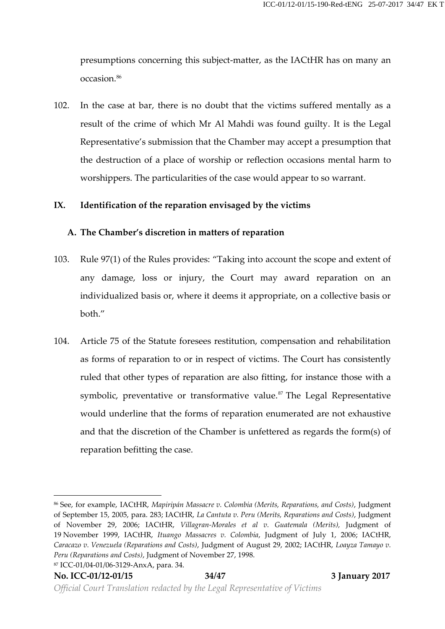presumptions concerning this subject-matter, as the IACtHR hason many an occasion.<sup>86</sup>

102. In the case at bar, there is no doubt that the victims suffered mentally as a result of the crime of which Mr Al Mahdi was found guilty. It is the Legal Representative's submission that the Chamber may accept a presumption that the destruction of a place of worship or reflection occasions mental harm to worshippers. The particularities of the case would appear to so warrant.

#### **IX. Identification of the reparation envisaged by the victims**

#### **A. The Chamber's discretion in matters of reparation**

- 103. Rule 97(1) of the Rules provides: "Taking into account the scope and extent of any damage, loss or injury, the Court may award reparation on an individualized basis or, where it deems it appropriate, on a collective basis or both."
- 104. Article 75 of the Statute foresees restitution, compensation and rehabilitation as forms of reparation to or in respect of victims. The Court has consistently ruled that other types of reparation are also fitting, for instance those with a symbolic, preventative or transformative value.<sup>87</sup> The Legal Representative would underline that the forms of reparation enumerated are not exhaustive and that the discretion of the Chamber is unfettered as regards the form(s) of reparation befitting the case.

<sup>86</sup> See, for example, IACtHR, *Mapiripán Massacre v. Colombia (Merits, Reparations, and Costs)*, Judgment of September 15, 2005, para. 283; IACtHR, *La Cantuta v. Peru (Merits, Reparations and Costs)*, Judgment of November 29, 2006; IACtHR, *Villagran-Morales et al v. Guatemala (Merits),* Judgment of 19 November 1999, IACtHR, *Ituango Massacres v. Colombia*, Judgment of July 1, 2006; IACtHR, *Caracazo v. Venezuela (Reparations and Costs)*, Judgment of August 29, 2002; IACtHR, *Loayza Tamayo v. Peru (Reparations and Costs)*, Judgment of November 27, 1998.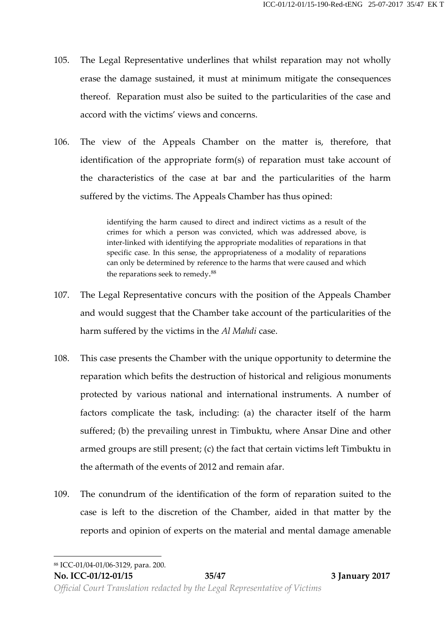- 105. The Legal Representative underlines that whilst reparation may not wholly erase the damage sustained, it must at minimum mitigate the consequences thereof. Reparation must also be suited to the particularities of the case and accord with the victims' views and concerns.
- 106. The view of the Appeals Chamber on the matter is, therefore, that identification of the appropriate form(s) of reparation must take account of the characteristics of the case at bar and the particularities of the harm suffered by the victims. The Appeals Chamber has thus opined:

identifying the harm caused to direct and indirect victims as a result of the crimes for which a person was convicted, which was addressed above, is inter-linked with identifying the appropriate modalities of reparations in that specific case. In this sense, the appropriateness of a modality of reparations can only be determined by reference to the harms that were caused and which the reparations seek to remedy.<sup>88</sup>

- 107. The Legal Representative concurs with the position of the Appeals Chamber and would suggest that the Chamber take account of the particularities of the harm suffered by the victims in the *Al Mahdi* case.
- 108. This case presents the Chamber with the unique opportunity to determine the reparation which befits the destruction of historical and religious monuments protected by various national and international instruments. A number of factors complicate the task, including: (a) the character itself of the harm suffered; (b) the prevailing unrest in Timbuktu, where Ansar Dine and other armed groups are still present; (c) the fact that certain victims left Timbuktu in the aftermath of the events of 2012 and remain afar.
- 109. The conundrum of the identification of the form of reparation suited to the case is left to the discretion of the Chamber, aided in that matter by the reports and opinion of experts on the material and mental damage amenable

<sup>88</sup> ICC-01/04-01/06-3129, para. 200.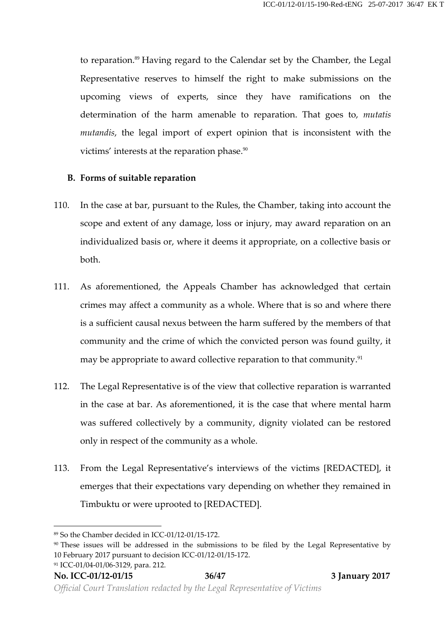to reparation.<sup>89</sup> Having regard to the Calendar set by the Chamber, the Legal Representative reserves to himself the right to make submissions on the upcoming views of experts, since they have ramifications on the determination of the harm amenable to reparation. That goes to, *mutatis mutandis*, the legal import of expert opinion that is inconsistent with the victims' interests at the reparation phase.<sup>90</sup>

#### **B. Forms of suitable reparation**

- 110. In the case at bar, pursuant to the Rules, the Chamber, taking into account the scope and extent of any damage, loss or injury, may award reparation on an individualized basis or, where it deems it appropriate, on a collective basis or both.
- 111. As aforementioned, the Appeals Chamber has acknowledged that certain crimes may affect a community as a whole. Where that is so and where there is a sufficient causal nexus between the harm suffered by the members of that community and the crime of which the convicted person was found guilty, it may be appropriate to award collective reparation to that community.<sup>91</sup>
- 112. The Legal Representative is of the view that collective reparation is warranted in the case at bar. As aforementioned, it is the case that where mental harm was suffered collectively by a community, dignity violated can be restored only in respect of the community as a whole.
- 113. From the Legal Representative's interviews of the victims [REDACTED], it emerges that their expectations vary depending on whether they remained in Timbuktu or were uprooted to [REDACTED].

<sup>89</sup> So the Chamber decided in ICC-01/12-01/15-172.

<sup>&</sup>lt;sup>90</sup> These issues will be addressed in the submissions to be filed by the Legal Representative by 10 February 2017 pursuant to decision ICC-01/12-01/15-172. <sup>91</sup> ICC-01/04-01/06-3129, para. 212.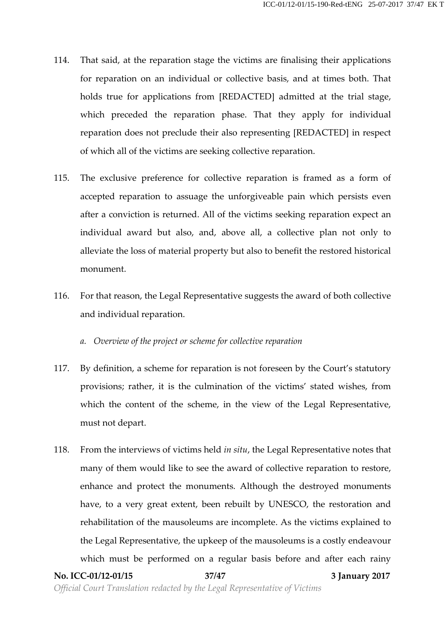- 114. That said, at the reparation stage the victims are finalising their applications for reparation on an individual or collective basis, and at times both. That holds true for applications from [REDACTED] admitted at the trial stage, which preceded the reparation phase. That they apply for individual reparation does not preclude their also representing [REDACTED] in respect of which all of the victims are seeking collective reparation.
- 115. The exclusive preference for collective reparation is framed as a form of accepted reparation to assuage the unforgiveable pain which persists even after a conviction is returned. All of the victims seeking reparation expect an individual award but also, and, above all, a collective plan not only to alleviate the loss of material property but also to benefit the restored historical monument.
- 116. For that reason, the Legal Representative suggests the award of both collective and individual reparation.
	- *a. Overview of the project or scheme for collective reparation*
- 117. By definition, a scheme for reparation is not foreseen by the Court's statutory provisions; rather, it is the culmination of the victims' stated wishes, from which the content of the scheme, in the view of the Legal Representative, must not depart.
- 118. From the interviews of victims held *in situ*, the Legal Representative notes that many of them would like to see the award of collective reparation to restore, enhance and protect the monuments. Although the destroyed monuments have, to a very great extent, been rebuilt by UNESCO, the restoration and rehabilitation of the mausoleums are incomplete. As the victims explained to the Legal Representative, the upkeep of the mausoleums is a costly endeavour which must be performed on a regular basis before and after each rainy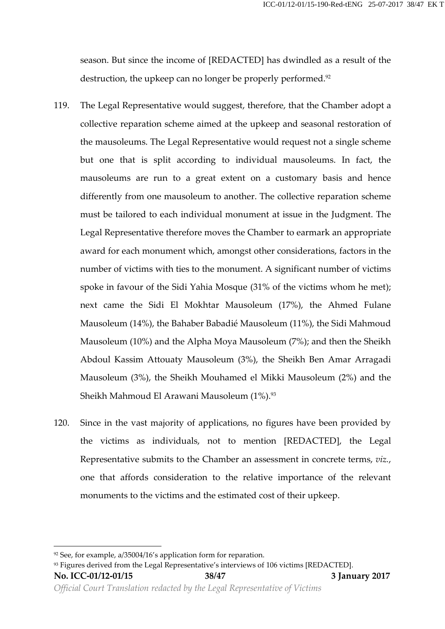season. But since the income of [REDACTED] has dwindled as a result of the destruction, the upkeep can no longer be properly performed.<sup>92</sup>

- 119. The Legal Representative would suggest, therefore, that the Chamber adopt a collective reparation scheme aimed at the upkeep and seasonal restoration of the mausoleums. The Legal Representative would request not a single scheme but one that is split according to individual mausoleums. In fact, the mausoleums are run to a great extent on a customary basis and hence differently from one mausoleum to another. The collective reparation scheme must be tailored to each individual monument at issue in the Judgment. The Legal Representative therefore moves the Chamber to earmark an appropriate award for each monument which, amongst other considerations, factors in the number of victims with ties to the monument. A significant number of victims spoke in favour of the Sidi Yahia Mosque (31% of the victims whom he met); next came the Sidi El Mokhtar Mausoleum (17%), the Ahmed Fulane Mausoleum (14%), the Bahaber Babadié Mausoleum (11%), the Sidi Mahmoud Mausoleum (10%) and the Alpha Moya Mausoleum (7%); and then the Sheikh Abdoul Kassim Attouaty Mausoleum (3%), the Sheikh Ben Amar Arragadi Mausoleum (3%), the Sheikh Mouhamed el Mikki Mausoleum (2%) and the Sheikh Mahmoud El Arawani Mausoleum (1%).<sup>93</sup>
- 120. Since in the vast majority of applications, no figures have been provided by the victims as individuals, not to mention [REDACTED], the Legal Representative submits to the Chamber an assessment in concrete terms, *viz.*, one that affords consideration to the relative importance of the relevant monuments to the victims and the estimated cost of their upkeep.

<sup>92</sup> See, for example, a/35004/16's application form for reparation.

<sup>93</sup> Figures derived from the Legal Representative's interviews of 106 victims [REDACTED].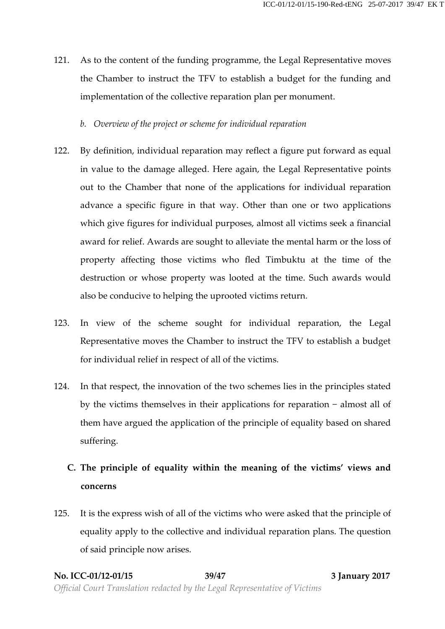- 121. As to the content of the funding programme, the Legal Representative moves the Chamber to instruct the TFV to establish a budget for the funding and implementation of the collective reparation plan per monument.
	- *b. Overview of the project or scheme for individual reparation*
- 122. By definition, individual reparation may reflect a figure put forward as equal in value to the damage alleged. Here again, the Legal Representative points out to the Chamber that none of the applications for individual reparation advance a specific figure in that way. Other than one or two applications which give figures for individual purposes, almost all victims seek a financial award for relief. Awards are sought to alleviate the mental harm or the loss of property affecting those victims who fled Timbuktu at the time of the destruction or whose property was looted at the time. Such awards would also be conducive to helping the uprooted victims return.
- 123. In view of the scheme sought for individual reparation, the Legal Representative moves the Chamber to instruct the TFV to establish a budget for individual relief in respect of all of the victims.
- 124. In that respect, the innovation of the two schemes lies in the principles stated by the victims themselves in their applications for reparation − almost all of them have argued the application of the principle of equality based on shared suffering.
	- **C. The principle of equality within the meaning of the victims' views and concerns**
- 125. It is the express wish of all of the victims who were asked that the principle of equality apply to the collective and individual reparation plans. The question of said principle now arises.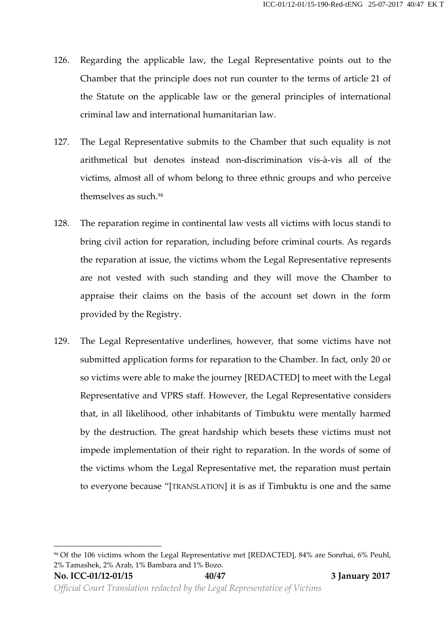- 126. Regarding the applicable law, the Legal Representative points out to the Chamber that the principle does not run counter to the terms of article 21 of the Statute on the applicable law or the general principles of international criminal law and international humanitarian law.
- 127. The Legal Representative submits to the Chamber that such equality is not arithmetical but denotes instead non-discrimination vis-à-vis all of the victims, almost all of whom belong to three ethnic groups and who perceive themselves as such.<sup>94</sup>
- 128. The reparation regime in continental law vests all victims with locus standi to bring civil action for reparation, including before criminal courts. As regards the reparation at issue, the victims whom the Legal Representative represents are not vested with such standing and they will move the Chamber to appraise their claims on the basis of the account set down in the form provided by the Registry.
- 129. The Legal Representative underlines, however, that some victims have not submitted application forms for reparation to the Chamber. In fact, only 20 or so victims were able to make the journey [REDACTED] to meet with the Legal Representative and VPRS staff. However, the Legal Representative considers that, in all likelihood, other inhabitants of Timbuktu were mentally harmed by the destruction. The great hardship which besets these victims must not impede implementation of their right to reparation. In the words of some of the victims whom the Legal Representative met, the reparation must pertain to everyone because "[TRANSLATION] it is as if Timbuktu is one and the same

<sup>&</sup>lt;sup>94</sup> Of the 106 victims whom the Legal Representative met [REDACTED], 84% are Sonrhai, 6% Peuhl, 2% Tamashek, 2% Arab, 1% Bambara and 1% Bozo.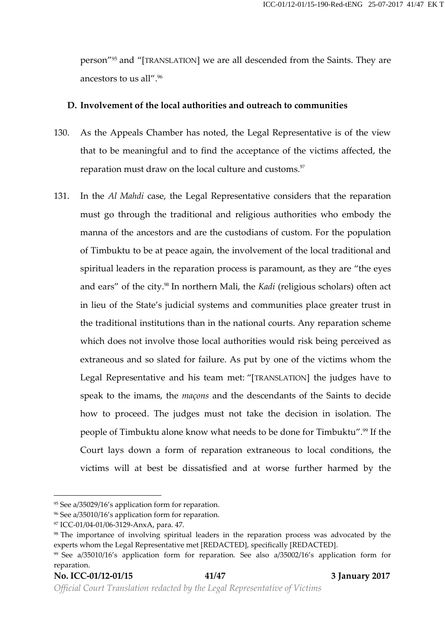person" <sup>95</sup> and "[TRANSLATION] we are all descended from the Saints. They are ancestors to us all".<sup>96</sup>

#### **D. Involvement of the local authorities and outreach to communities**

- 130. As the Appeals Chamber has noted, the Legal Representative is of the view that to be meaningful and to find the acceptance of the victims affected, the reparation must draw on the local culture and customs.<sup>97</sup>
- 131. In the *Al Mahdi* case, the Legal Representative considers that the reparation must go through the traditional and religious authorities who embody the manna of the ancestors and are the custodians of custom. For the population of Timbuktu to be at peace again, the involvement of the local traditional and spiritual leaders in the reparation process is paramount, as they are "the eyes and ears" of the city.<sup>98</sup> In northern Mali, the *Kadi* (religious scholars) often act in lieu of the State's judicial systems and communities place greater trust in the traditional institutions than in the national courts. Any reparation scheme which does not involve those local authorities would risk being perceived as extraneous and so slated for failure. As put by one of the victims whom the Legal Representative and his team met: "[TRANSLATION] the judges have to speak to the imams, the *maçons* and the descendants of the Saints to decide how to proceed. The judges must not take the decision in isolation. The people of Timbuktu alone know what needs to be done for Timbuktu".<sup>99</sup> If the Court lays down a form of reparation extraneous to local conditions, the victims will at best be dissatisfied and at worse further harmed by the

<sup>95</sup> See a/35029/16's application form for reparation.

<sup>96</sup> See a/35010/16's application form for reparation.

<sup>97</sup> ICC-01/04-01/06-3129-AnxA, para. 47.

<sup>&</sup>lt;sup>98</sup> The importance of involving spiritual leaders in the reparation process was advocated by the experts whom the Legal Representative met [REDACTED], specifically [REDACTED].

<sup>99</sup> See a/35010/16's application form for reparation. See also a/35002/16's application form for reparation.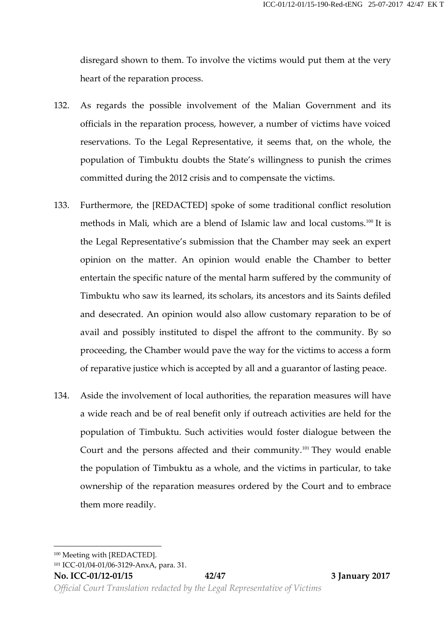disregard shown to them. To involve the victims would put them at the very heart of the reparation process.

- 132. As regards the possible involvement of the Malian Government and its officials in the reparation process, however, a number of victims have voiced reservations. To the Legal Representative, it seems that, on the whole, the population of Timbuktu doubts the State's willingness to punish the crimes committed during the 2012 crisis and to compensate the victims.
- 133. Furthermore, the [REDACTED] spoke of some traditional conflict resolution methods in Mali, which are a blend of Islamic law and local customs.<sup>100</sup> It is the Legal Representative's submission that the Chamber may seek an expert opinion on the matter. An opinion would enable the Chamber to better entertain the specific nature of the mental harm suffered by the community of Timbuktu who saw its learned, its scholars, its ancestors and its Saints defiled and desecrated. An opinion would also allow customary reparation to be of avail and possibly instituted to dispel the affront to the community. By so proceeding, the Chamber would pave the way for the victims to access a form of reparative justice which is accepted by all and a guarantor of lasting peace.
- 134. Aside the involvement of local authorities, the reparation measures will have a wide reach and be of real benefit only if outreach activities are held for the population of Timbuktu. Such activities would foster dialogue between the Court and the persons affected and their community.<sup>101</sup> They would enable the population of Timbuktu as a whole, and the victims in particular, to take ownership of the reparation measures ordered by the Court and to embrace them more readily.

<sup>100</sup> Meeting with [REDACTED].

<sup>101</sup> ICC-01/04-01/06-3129-AnxA, para. 31.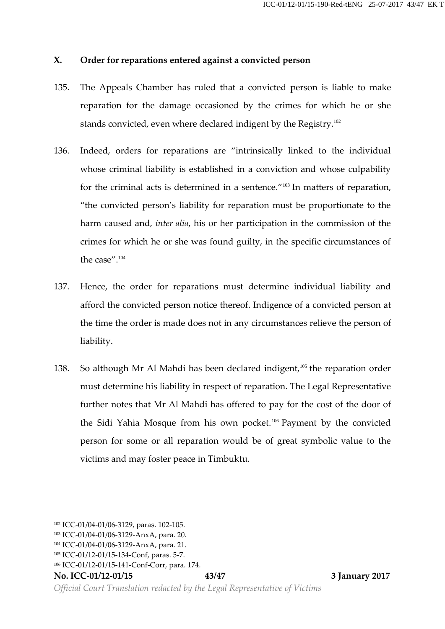#### **X. Order for reparations entered against a convicted person**

- 135. The Appeals Chamber has ruled that a convicted person is liable to make reparation for the damage occasioned by the crimes for which he or she stands convicted, even where declared indigent by the Registry.<sup>102</sup>
- 136. Indeed, orders for reparations are "intrinsically linked to the individual whose criminal liability is established in a conviction and whose culpability for the criminal acts is determined in a sentence." <sup>103</sup> In matters of reparation, "the convicted person's liability for reparation must be proportionate to the harm caused and, *inter alia*, his or her participation in the commission of the crimes for which he or she was found guilty, in the specific circumstances of the case".<sup>104</sup>
- 137. Hence, the order for reparations must determine individual liability and afford the convicted person notice thereof. Indigence of a convicted person at the time the order is made does not in any circumstances relieve the person of liability.
- 138. So although Mr Al Mahdi has been declared indigent,<sup>105</sup> the reparation order must determine his liability in respect of reparation. The Legal Representative further notes that Mr Al Mahdi has offered to pay for the cost of the door of the Sidi Yahia Mosque from his own pocket.<sup>106</sup> Payment by the convicted person for some or all reparation would be of great symbolic value to the victims and may foster peace in Timbuktu.

**No. ICC-01/12-01/15 43/47 3 January 2017**

<sup>102</sup> ICC-01/04-01/06-3129, paras. 102-105.

<sup>103</sup> ICC-01/04-01/06-3129-AnxA, para. 20.

<sup>104</sup> ICC-01/04-01/06-3129-AnxA, para. 21.

<sup>105</sup> ICC-01/12-01/15-134-Conf, paras. 5-7.

<sup>106</sup> ICC-01/12-01/15-141-Conf-Corr, para. 174.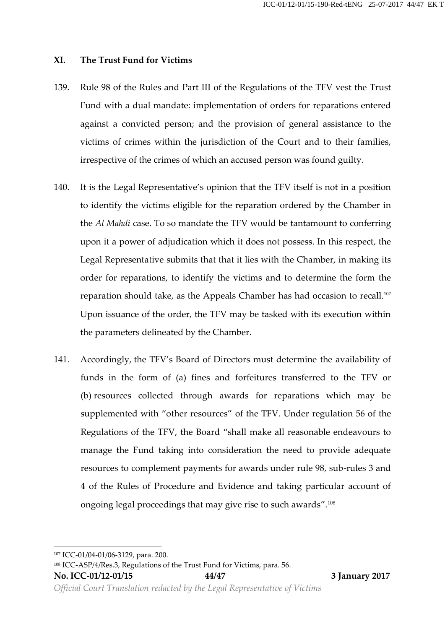#### **XI.** The Trust Fund for Victims

- 139. Rule 98 of the Rules and Part III of the Regulations of the TFV vest the Trust Fund with a dual mandate: implementation of orders for reparations entered against a convicted person; and the provision of general assistance to the victims of crimes within the jurisdiction of the Court and to their families, irrespective of the crimes of which an accused person was found guilty.
- 140. It is the Legal Representative's opinion that the TFV itself is not in a position to identify the victims eligible for the reparation ordered by the Chamber in the *Al Mahdi* case. To so mandate the TFV would be tantamount to conferring upon it a power of adjudication which it does not possess. In this respect, the Legal Representative submits that that it lies with the Chamber, in making its order for reparations, to identify the victims and to determine the form the reparation should take, as the Appeals Chamber has had occasion to recall.<sup>107</sup> Upon issuance of the order, the TFV may be tasked with its execution within the parameters delineated by the Chamber.
- 141. Accordingly, the TFV's Board of Directors must determine the availability of funds in the form of (a) fines and forfeitures transferred to the TFV or (b) resources collected through awards for reparations which may be supplemented with "other resources" of the TFV. Under regulation 56 of the Regulations of the TFV, the Board "shall make all reasonable endeavours to manage the Fund taking into consideration the need to provide adequate resources to complement payments for awards under rule 98, sub-rules 3 and 4 of the Rules of Procedure and Evidence and taking particular account of ongoing legal proceedings that may give rise to such awards".<sup>108</sup>

<sup>107</sup> ICC-01/04-01/06-3129, para. 200.

<sup>108</sup> ICC-ASP/4/Res.3, Regulations of the Trust Fund for Victims, para. 56.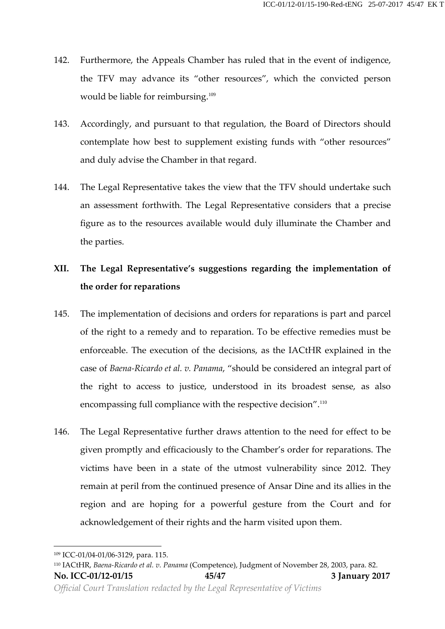- 142. Furthermore, the Appeals Chamber has ruled that in the event of indigence, the TFV may advance its "other resources", which the convicted person would be liable for reimbursing.<sup>109</sup>
- 143. Accordingly, and pursuant to that regulation, the Board of Directors should contemplate how best to supplement existing funds with "other resources" and duly advise the Chamber in that regard.
- 144. The Legal Representative takes the view that the TFV should undertake such an assessment forthwith. The Legal Representative considers that a precise figure as to the resources available would duly illuminate the Chamber and the parties.

# **XII. The Legal Representative's suggestions regarding the implementation of the order for reparations**

- 145. The implementation of decisions and orders for reparations is part and parcel of the right to a remedy and to reparation. To be effective remedies must be enforceable. The execution of the decisions, as the IACtHR explained in the case of *Baena-Ricardo et al. v. Panama*, "should be considered an integral part of the right to access to justice, understood in its broadest sense, as also encompassing full compliance with the respective decision".<sup>110</sup>
- 146. The Legal Representative further draws attention to the need for effect to be given promptly and efficaciously to the Chamber's order for reparations. The victims have been in a state of the utmost vulnerability since 2012. They remain at peril from the continued presence of Ansar Dine and its allies in the region and are hoping for a powerful gesture from the Court and for acknowledgement of their rights and the harm visited upon them.

<sup>109</sup> ICC-01/04-01/06-3129, para. 115.

**No. ICC-01/12-01/15 45/47 3 January 2017** *Official Court Translation redacted by the Legal Representative of Victims* <sup>110</sup> IACtHR, *Baena-Ricardo et al. v. Panama* (Competence), Judgment of November 28, 2003, para. 82.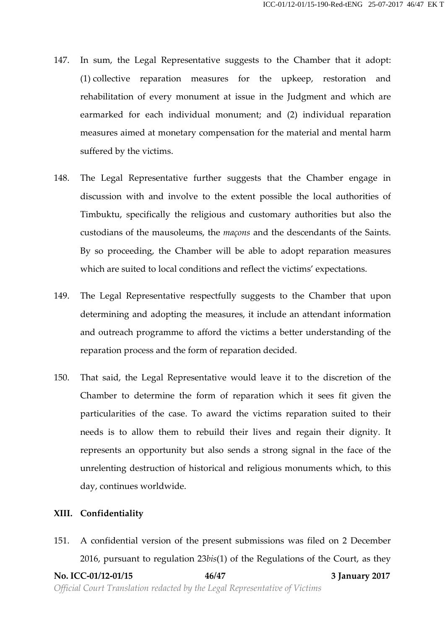- 147. In sum, the Legal Representative suggests to the Chamber that it adopt: (1) collective reparation measures for the upkeep, restoration and rehabilitation of every monument at issue in the Judgment and which are earmarked for each individual monument; and (2) individual reparation measures aimed at monetary compensation for the material and mental harm suffered by the victims.
- 148. The Legal Representative further suggests that the Chamber engage in discussion with and involve to the extent possible the local authorities of Timbuktu, specifically the religious and customary authorities but also the custodians of the mausoleums, the *maçons* and the descendants of the Saints. By so proceeding, the Chamber will be able to adopt reparation measures which are suited to local conditions and reflect the victims' expectations.
- 149. The Legal Representative respectfully suggests to the Chamber that upon determining and adopting the measures, it include an attendant information and outreach programme to afford the victims a better understanding of the reparation process and the form of reparation decided.
- 150. That said, the Legal Representative would leave it to the discretion of the Chamber to determine the form of reparation which it sees fit given the particularities of the case. To award the victims reparation suited to their needs is to allow them to rebuild their lives and regain their dignity. It represents an opportunity but also sends a strong signal in the face of the unrelenting destruction of historical and religious monuments which, to this day, continues worldwide.

#### **XIII. Confidentiality**

151. A confidential version of the present submissions was filed on 2 December 2016, pursuant to regulation 23*bis*(1) of the Regulations of the Court, as they

**No. ICC-01/12-01/15 46/47 3 January 2017** *Official Court Translation redacted by the Legal Representative of Victims*